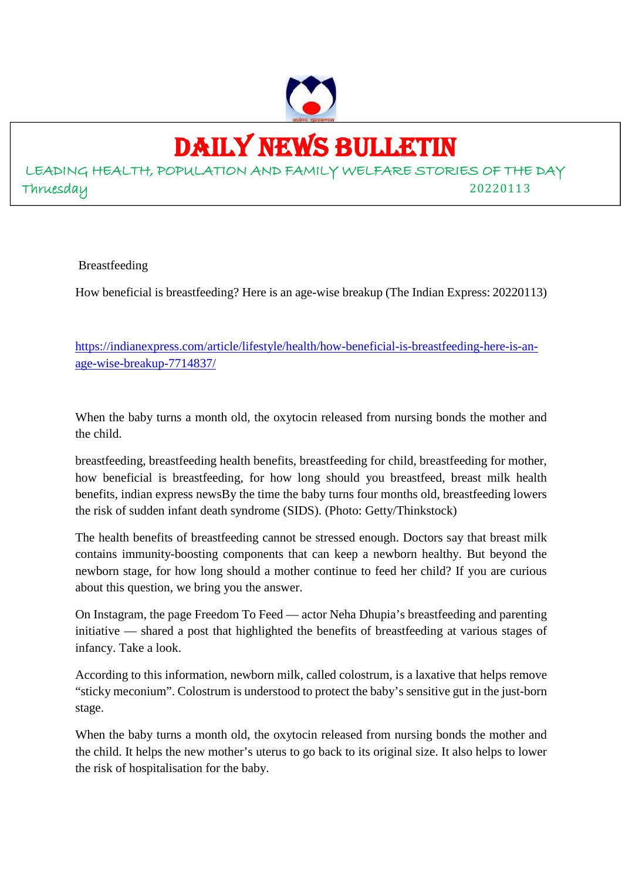

## DAILY NEWS BULLETIN

LEADING HEALTH, POPULATION AND FAMILY WELFARE STORIES OF THE DAY Thruesday 20220113

Breastfeeding

How beneficial is breastfeeding? Here is an age-wise breakup (The Indian Express: 20220113)

https://indianexpress.com/article/lifestyle/health/how-beneficial-is-breastfeeding-here-is-anage-wise-breakup-7714837/

When the baby turns a month old, the oxytocin released from nursing bonds the mother and the child.

breastfeeding, breastfeeding health benefits, breastfeeding for child, breastfeeding for mother, how beneficial is breastfeeding, for how long should you breastfeed, breast milk health benefits, indian express newsBy the time the baby turns four months old, breastfeeding lowers the risk of sudden infant death syndrome (SIDS). (Photo: Getty/Thinkstock)

The health benefits of breastfeeding cannot be stressed enough. Doctors say that breast milk contains immunity-boosting components that can keep a newborn healthy. But beyond the newborn stage, for how long should a mother continue to feed her child? If you are curious about this question, we bring you the answer.

On Instagram, the page Freedom To Feed — actor Neha Dhupia's breastfeeding and parenting initiative — shared a post that highlighted the benefits of breastfeeding at various stages of infancy. Take a look.

According to this information, newborn milk, called colostrum, is a laxative that helps remove "sticky meconium". Colostrum is understood to protect the baby's sensitive gut in the just-born stage.

When the baby turns a month old, the oxytocin released from nursing bonds the mother and the child. It helps the new mother's uterus to go back to its original size. It also helps to lower the risk of hospitalisation for the baby.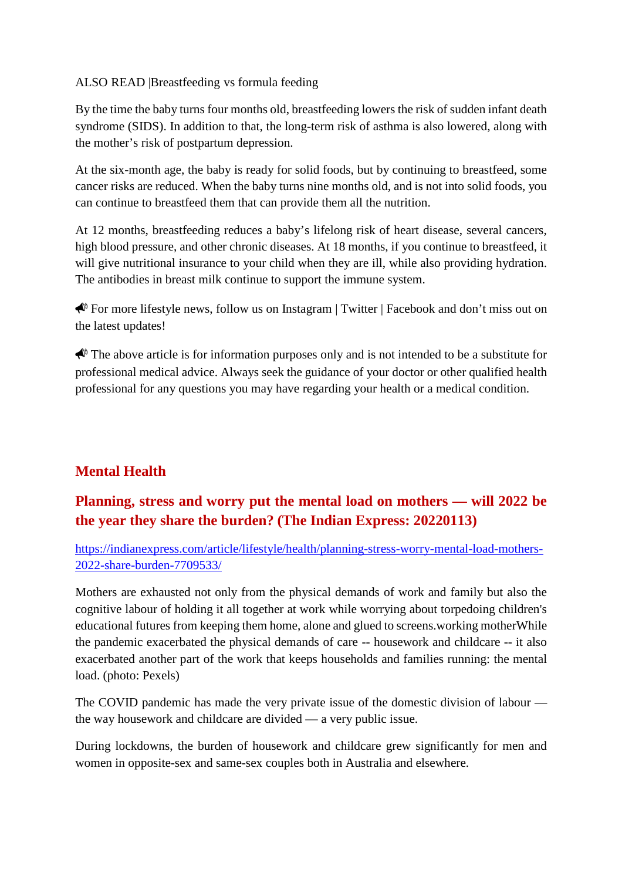ALSO READ |Breastfeeding vs formula feeding

By the time the baby turns four months old, breastfeeding lowers the risk of sudden infant death syndrome (SIDS). In addition to that, the long-term risk of asthma is also lowered, along with the mother's risk of postpartum depression.

At the six-month age, the baby is ready for solid foods, but by continuing to breastfeed, some cancer risks are reduced. When the baby turns nine months old, and is not into solid foods, you can continue to breastfeed them that can provide them all the nutrition.

At 12 months, breastfeeding reduces a baby's lifelong risk of heart disease, several cancers, high blood pressure, and other chronic diseases. At 18 months, if you continue to breastfeed, it will give nutritional insurance to your child when they are ill, while also providing hydration. The antibodies in breast milk continue to support the immune system.

 $\bigotimes$  For more lifestyle news, follow us on Instagram | Twitter | Facebook and don't miss out on the latest updates!

 $\bigotimes$  The above article is for information purposes only and is not intended to be a substitute for professional medical advice. Always seek the guidance of your doctor or other qualified health professional for any questions you may have regarding your health or a medical condition.

### **Mental Health**

#### **Planning, stress and worry put the mental load on mothers — will 2022 be the year they share the burden? (The Indian Express: 20220113)**

https://indianexpress.com/article/lifestyle/health/planning-stress-worry-mental-load-mothers-2022-share-burden-7709533/

Mothers are exhausted not only from the physical demands of work and family but also the cognitive labour of holding it all together at work while worrying about torpedoing children's educational futures from keeping them home, alone and glued to screens.working motherWhile the pandemic exacerbated the physical demands of care -- housework and childcare -- it also exacerbated another part of the work that keeps households and families running: the mental load. (photo: Pexels)

The COVID pandemic has made the very private issue of the domestic division of labour the way housework and childcare are divided — a very public issue.

During lockdowns, the burden of housework and childcare grew significantly for men and women in opposite-sex and same-sex couples both in Australia and elsewhere.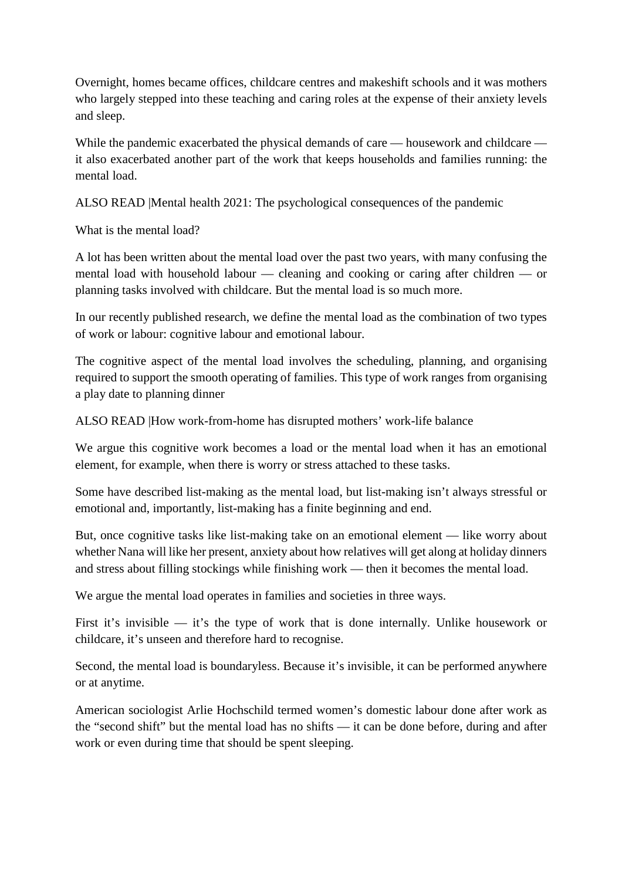Overnight, homes became offices, childcare centres and makeshift schools and it was mothers who largely stepped into these teaching and caring roles at the expense of their anxiety levels and sleep.

While the pandemic exacerbated the physical demands of care — housework and childcare it also exacerbated another part of the work that keeps households and families running: the mental load.

ALSO READ |Mental health 2021: The psychological consequences of the pandemic

What is the mental load?

A lot has been written about the mental load over the past two years, with many confusing the mental load with household labour — cleaning and cooking or caring after children — or planning tasks involved with childcare. But the mental load is so much more.

In our recently published research, we define the mental load as the combination of two types of work or labour: cognitive labour and emotional labour.

The cognitive aspect of the mental load involves the scheduling, planning, and organising required to support the smooth operating of families. This type of work ranges from organising a play date to planning dinner

ALSO READ |How work-from-home has disrupted mothers' work-life balance

We argue this cognitive work becomes a load or the mental load when it has an emotional element, for example, when there is worry or stress attached to these tasks.

Some have described list-making as the mental load, but list-making isn't always stressful or emotional and, importantly, list-making has a finite beginning and end.

But, once cognitive tasks like list-making take on an emotional element — like worry about whether Nana will like her present, anxiety about how relatives will get along at holiday dinners and stress about filling stockings while finishing work — then it becomes the mental load.

We argue the mental load operates in families and societies in three ways.

First it's invisible — it's the type of work that is done internally. Unlike housework or childcare, it's unseen and therefore hard to recognise.

Second, the mental load is boundaryless. Because it's invisible, it can be performed anywhere or at anytime.

American sociologist Arlie Hochschild termed women's domestic labour done after work as the "second shift" but the mental load has no shifts — it can be done before, during and after work or even during time that should be spent sleeping.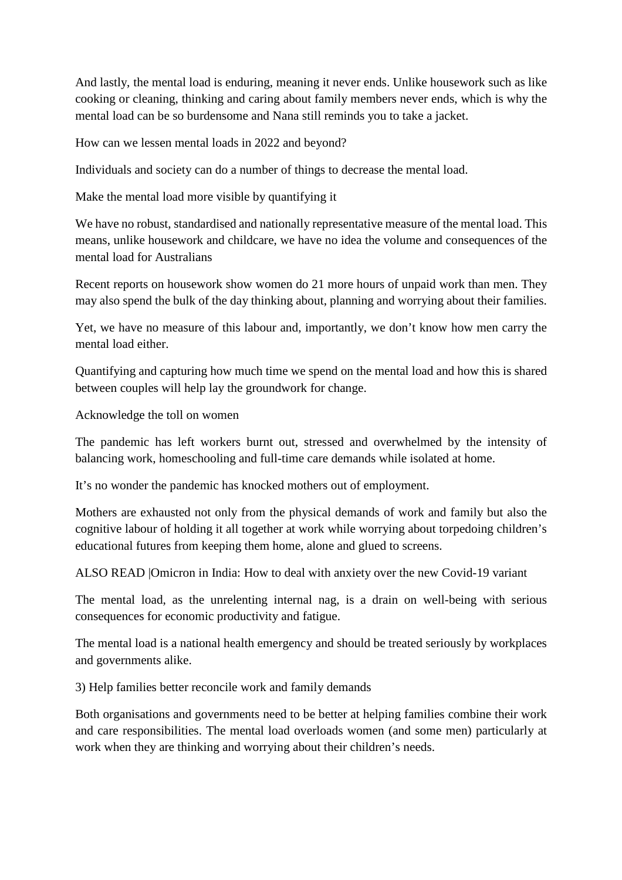And lastly, the mental load is enduring, meaning it never ends. Unlike housework such as like cooking or cleaning, thinking and caring about family members never ends, which is why the mental load can be so burdensome and Nana still reminds you to take a jacket.

How can we lessen mental loads in 2022 and beyond?

Individuals and society can do a number of things to decrease the mental load.

Make the mental load more visible by quantifying it

We have no robust, standardised and nationally representative measure of the mental load. This means, unlike housework and childcare, we have no idea the volume and consequences of the mental load for Australians

Recent reports on housework show women do 21 more hours of unpaid work than men. They may also spend the bulk of the day thinking about, planning and worrying about their families.

Yet, we have no measure of this labour and, importantly, we don't know how men carry the mental load either.

Quantifying and capturing how much time we spend on the mental load and how this is shared between couples will help lay the groundwork for change.

Acknowledge the toll on women

The pandemic has left workers burnt out, stressed and overwhelmed by the intensity of balancing work, homeschooling and full-time care demands while isolated at home.

It's no wonder the pandemic has knocked mothers out of employment.

Mothers are exhausted not only from the physical demands of work and family but also the cognitive labour of holding it all together at work while worrying about torpedoing children's educational futures from keeping them home, alone and glued to screens.

ALSO READ |Omicron in India: How to deal with anxiety over the new Covid-19 variant

The mental load, as the unrelenting internal nag, is a drain on well-being with serious consequences for economic productivity and fatigue.

The mental load is a national health emergency and should be treated seriously by workplaces and governments alike.

3) Help families better reconcile work and family demands

Both organisations and governments need to be better at helping families combine their work and care responsibilities. The mental load overloads women (and some men) particularly at work when they are thinking and worrying about their children's needs.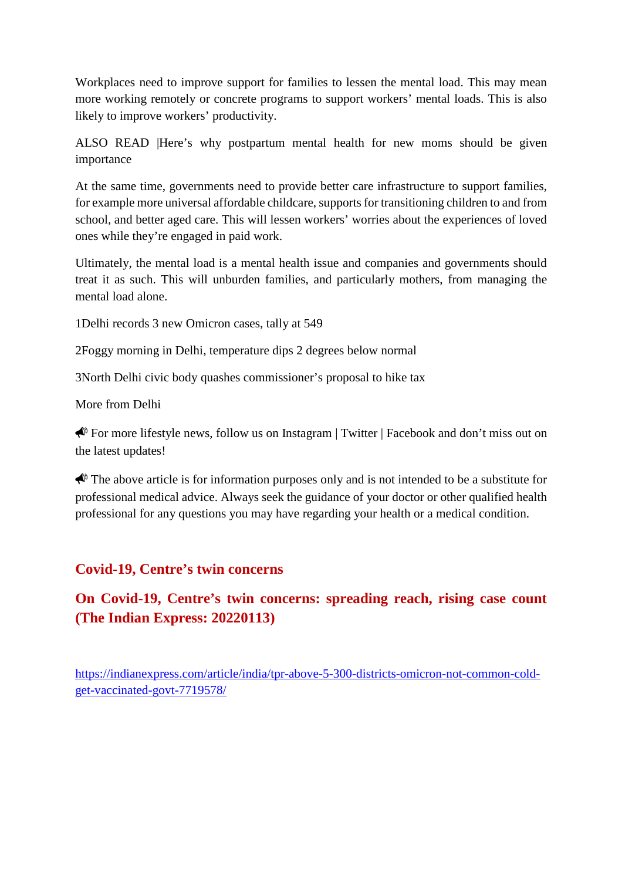Workplaces need to improve support for families to lessen the mental load. This may mean more working remotely or concrete programs to support workers' mental loads. This is also likely to improve workers' productivity.

ALSO READ |Here's why postpartum mental health for new moms should be given importance

At the same time, governments need to provide better care infrastructure to support families, for example more universal affordable childcare, supports for transitioning children to and from school, and better aged care. This will lessen workers' worries about the experiences of loved ones while they're engaged in paid work.

Ultimately, the mental load is a mental health issue and companies and governments should treat it as such. This will unburden families, and particularly mothers, from managing the mental load alone.

1Delhi records 3 new Omicron cases, tally at 549

2Foggy morning in Delhi, temperature dips 2 degrees below normal

3North Delhi civic body quashes commissioner's proposal to hike tax

More from Delhi

 For more lifestyle news, follow us on Instagram | Twitter | Facebook and don't miss out on the latest updates!

The above article is for information purposes only and is not intended to be a substitute for professional medical advice. Always seek the guidance of your doctor or other qualified health professional for any questions you may have regarding your health or a medical condition.

#### **Covid-19, Centre's twin concerns**

**On Covid-19, Centre's twin concerns: spreading reach, rising case count (The Indian Express: 20220113)**

https://indianexpress.com/article/india/tpr-above-5-300-districts-omicron-not-common-coldget-vaccinated-govt-7719578/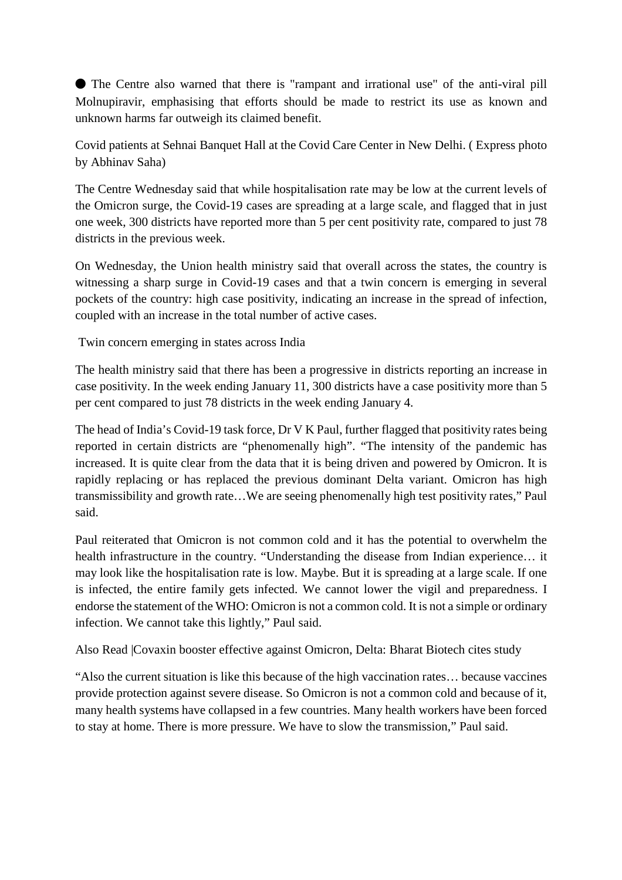⬤ The Centre also warned that there is "rampant and irrational use" of the anti-viral pill Molnupiravir, emphasising that efforts should be made to restrict its use as known and unknown harms far outweigh its claimed benefit.

Covid patients at Sehnai Banquet Hall at the Covid Care Center in New Delhi. ( Express photo by Abhinav Saha)

The Centre Wednesday said that while hospitalisation rate may be low at the current levels of the Omicron surge, the Covid-19 cases are spreading at a large scale, and flagged that in just one week, 300 districts have reported more than 5 per cent positivity rate, compared to just 78 districts in the previous week.

On Wednesday, the Union health ministry said that overall across the states, the country is witnessing a sharp surge in Covid-19 cases and that a twin concern is emerging in several pockets of the country: high case positivity, indicating an increase in the spread of infection, coupled with an increase in the total number of active cases.

Twin concern emerging in states across India

The health ministry said that there has been a progressive in districts reporting an increase in case positivity. In the week ending January 11, 300 districts have a case positivity more than 5 per cent compared to just 78 districts in the week ending January 4.

The head of India's Covid-19 task force, Dr V K Paul, further flagged that positivity rates being reported in certain districts are "phenomenally high". "The intensity of the pandemic has increased. It is quite clear from the data that it is being driven and powered by Omicron. It is rapidly replacing or has replaced the previous dominant Delta variant. Omicron has high transmissibility and growth rate…We are seeing phenomenally high test positivity rates," Paul said.

Paul reiterated that Omicron is not common cold and it has the potential to overwhelm the health infrastructure in the country. "Understanding the disease from Indian experience… it may look like the hospitalisation rate is low. Maybe. But it is spreading at a large scale. If one is infected, the entire family gets infected. We cannot lower the vigil and preparedness. I endorse the statement of the WHO: Omicron is not a common cold. It is not a simple or ordinary infection. We cannot take this lightly," Paul said.

Also Read |Covaxin booster effective against Omicron, Delta: Bharat Biotech cites study

"Also the current situation is like this because of the high vaccination rates… because vaccines provide protection against severe disease. So Omicron is not a common cold and because of it, many health systems have collapsed in a few countries. Many health workers have been forced to stay at home. There is more pressure. We have to slow the transmission," Paul said.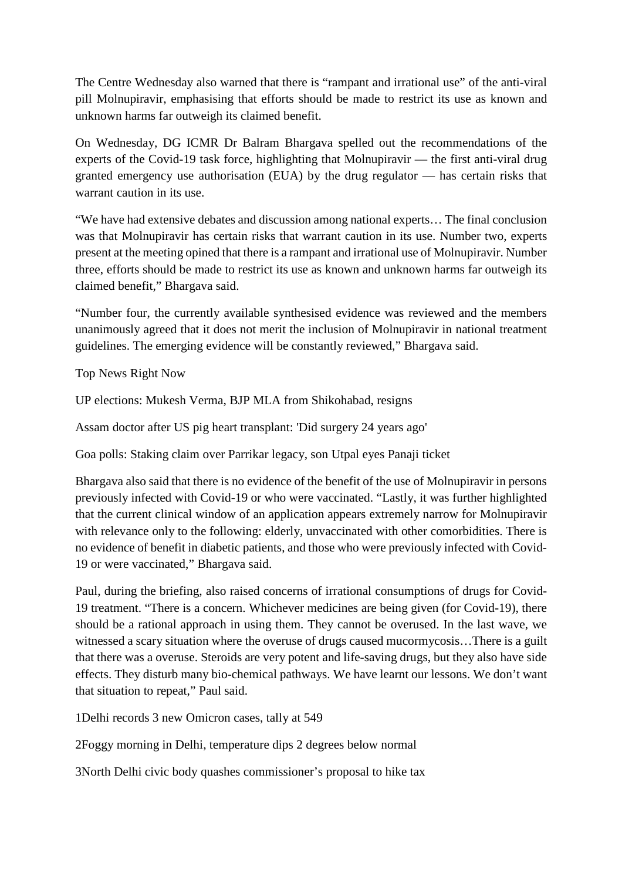The Centre Wednesday also warned that there is "rampant and irrational use" of the anti-viral pill Molnupiravir, emphasising that efforts should be made to restrict its use as known and unknown harms far outweigh its claimed benefit.

On Wednesday, DG ICMR Dr Balram Bhargava spelled out the recommendations of the experts of the Covid-19 task force, highlighting that Molnupiravir — the first anti-viral drug granted emergency use authorisation (EUA) by the drug regulator — has certain risks that warrant caution in its use.

"We have had extensive debates and discussion among national experts… The final conclusion was that Molnupiravir has certain risks that warrant caution in its use. Number two, experts present at the meeting opined that there is a rampant and irrational use of Molnupiravir. Number three, efforts should be made to restrict its use as known and unknown harms far outweigh its claimed benefit," Bhargava said.

"Number four, the currently available synthesised evidence was reviewed and the members unanimously agreed that it does not merit the inclusion of Molnupiravir in national treatment guidelines. The emerging evidence will be constantly reviewed," Bhargava said.

Top News Right Now

UP elections: Mukesh Verma, BJP MLA from Shikohabad, resigns

Assam doctor after US pig heart transplant: 'Did surgery 24 years ago'

Goa polls: Staking claim over Parrikar legacy, son Utpal eyes Panaji ticket

Bhargava also said that there is no evidence of the benefit of the use of Molnupiravir in persons previously infected with Covid-19 or who were vaccinated. "Lastly, it was further highlighted that the current clinical window of an application appears extremely narrow for Molnupiravir with relevance only to the following: elderly, unvaccinated with other comorbidities. There is no evidence of benefit in diabetic patients, and those who were previously infected with Covid-19 or were vaccinated," Bhargava said.

Paul, during the briefing, also raised concerns of irrational consumptions of drugs for Covid-19 treatment. "There is a concern. Whichever medicines are being given (for Covid-19), there should be a rational approach in using them. They cannot be overused. In the last wave, we witnessed a scary situation where the overuse of drugs caused mucormycosis…There is a guilt that there was a overuse. Steroids are very potent and life-saving drugs, but they also have side effects. They disturb many bio-chemical pathways. We have learnt our lessons. We don't want that situation to repeat," Paul said.

1Delhi records 3 new Omicron cases, tally at 549

2Foggy morning in Delhi, temperature dips 2 degrees below normal

3North Delhi civic body quashes commissioner's proposal to hike tax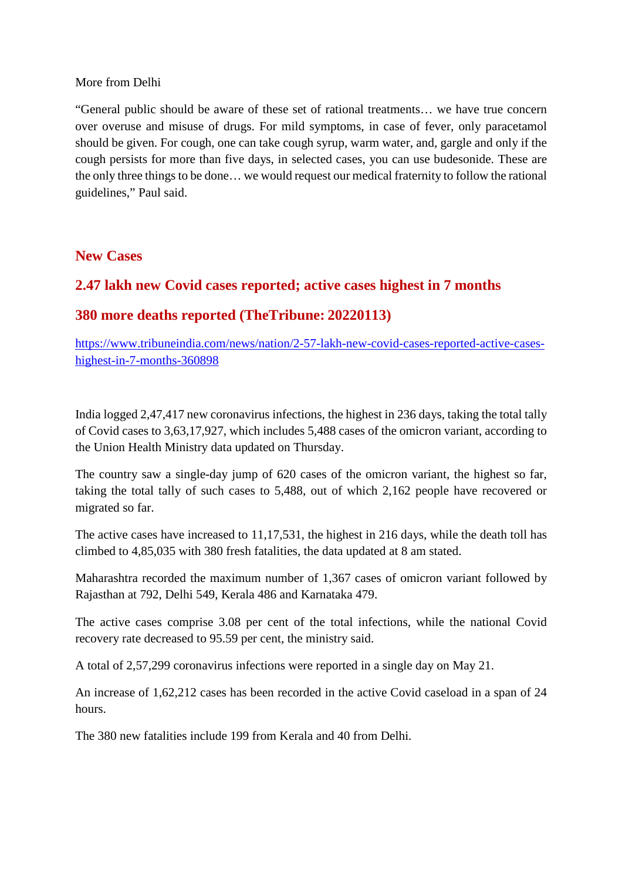#### More from Delhi

"General public should be aware of these set of rational treatments… we have true concern over overuse and misuse of drugs. For mild symptoms, in case of fever, only paracetamol should be given. For cough, one can take cough syrup, warm water, and, gargle and only if the cough persists for more than five days, in selected cases, you can use budesonide. These are the only three things to be done… we would request our medical fraternity to follow the rational guidelines," Paul said.

#### **New Cases**

#### **2.47 lakh new Covid cases reported; active cases highest in 7 months**

#### **380 more deaths reported (TheTribune: 20220113)**

https://www.tribuneindia.com/news/nation/2-57-lakh-new-covid-cases-reported-active-caseshighest-in-7-months-360898

India logged 2,47,417 new coronavirus infections, the highest in 236 days, taking the total tally of Covid cases to 3,63,17,927, which includes 5,488 cases of the omicron variant, according to the Union Health Ministry data updated on Thursday.

The country saw a single-day jump of 620 cases of the omicron variant, the highest so far, taking the total tally of such cases to 5,488, out of which 2,162 people have recovered or migrated so far.

The active cases have increased to 11,17,531, the highest in 216 days, while the death toll has climbed to 4,85,035 with 380 fresh fatalities, the data updated at 8 am stated.

Maharashtra recorded the maximum number of 1,367 cases of omicron variant followed by Rajasthan at 792, Delhi 549, Kerala 486 and Karnataka 479.

The active cases comprise 3.08 per cent of the total infections, while the national Covid recovery rate decreased to 95.59 per cent, the ministry said.

A total of 2,57,299 coronavirus infections were reported in a single day on May 21.

An increase of 1,62,212 cases has been recorded in the active Covid caseload in a span of 24 hours.

The 380 new fatalities include 199 from Kerala and 40 from Delhi.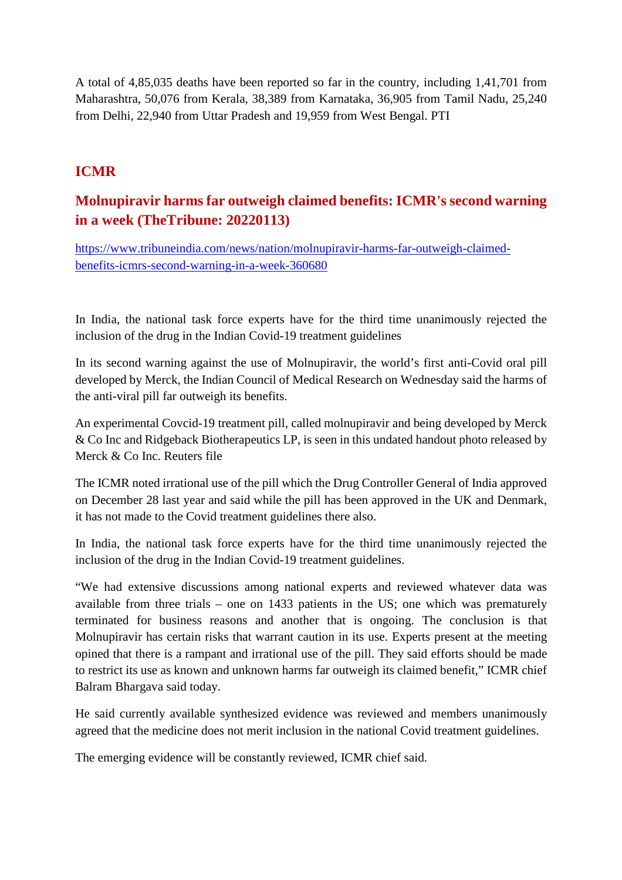A total of 4,85,035 deaths have been reported so far in the country, including 1,41,701 from Maharashtra, 50,076 from Kerala, 38,389 from Karnataka, 36,905 from Tamil Nadu, 25,240 from Delhi, 22,940 from Uttar Pradesh and 19,959 from West Bengal. PTI

#### **ICMR**

#### **Molnupiravir harms far outweigh claimed benefits: ICMR's second warning in a week (TheTribune: 20220113)**

https://www.tribuneindia.com/news/nation/molnupiravir-harms-far-outweigh-claimedbenefits-icmrs-second-warning-in-a-week-360680

In India, the national task force experts have for the third time unanimously rejected the inclusion of the drug in the Indian Covid-19 treatment guidelines

In its second warning against the use of Molnupiravir, the world's first anti-Covid oral pill developed by Merck, the Indian Council of Medical Research on Wednesday said the harms of the anti-viral pill far outweigh its benefits.

An experimental Covcid-19 treatment pill, called molnupiravir and being developed by Merck & Co Inc and Ridgeback Biotherapeutics LP, is seen in this undated handout photo released by Merck & Co Inc. Reuters file

The ICMR noted irrational use of the pill which the Drug Controller General of India approved on December 28 last year and said while the pill has been approved in the UK and Denmark, it has not made to the Covid treatment guidelines there also.

In India, the national task force experts have for the third time unanimously rejected the inclusion of the drug in the Indian Covid-19 treatment guidelines.

"We had extensive discussions among national experts and reviewed whatever data was available from three trials – one on 1433 patients in the US; one which was prematurely terminated for business reasons and another that is ongoing. The conclusion is that Molnupiravir has certain risks that warrant caution in its use. Experts present at the meeting opined that there is a rampant and irrational use of the pill. They said efforts should be made to restrict its use as known and unknown harms far outweigh its claimed benefit," ICMR chief Balram Bhargava said today.

He said currently available synthesized evidence was reviewed and members unanimously agreed that the medicine does not merit inclusion in the national Covid treatment guidelines.

The emerging evidence will be constantly reviewed, ICMR chief said.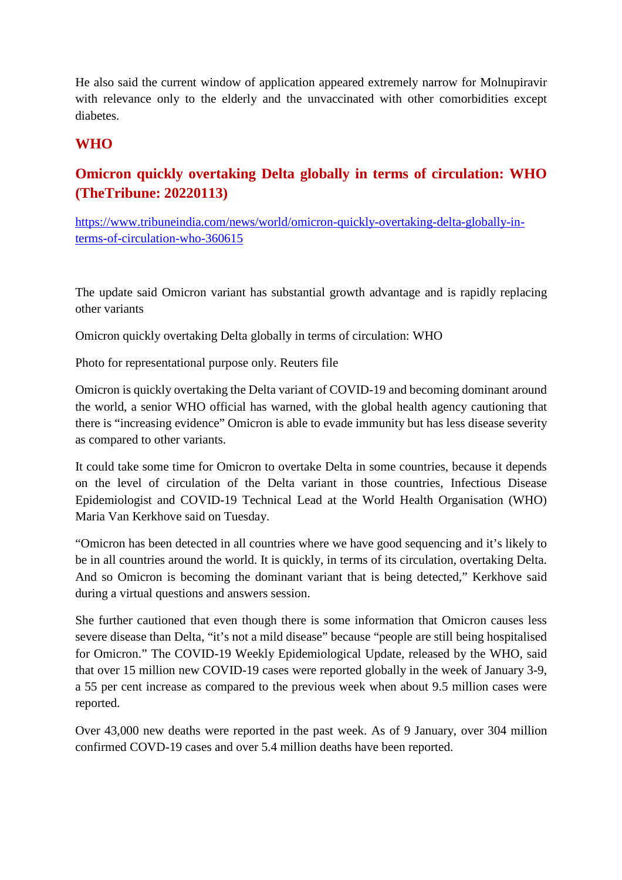He also said the current window of application appeared extremely narrow for Molnupiravir with relevance only to the elderly and the unvaccinated with other comorbidities except diabetes.

#### **WHO**

### **Omicron quickly overtaking Delta globally in terms of circulation: WHO (TheTribune: 20220113)**

https://www.tribuneindia.com/news/world/omicron-quickly-overtaking-delta-globally-interms-of-circulation-who-360615

The update said Omicron variant has substantial growth advantage and is rapidly replacing other variants

Omicron quickly overtaking Delta globally in terms of circulation: WHO

Photo for representational purpose only. Reuters file

Omicron is quickly overtaking the Delta variant of COVID-19 and becoming dominant around the world, a senior WHO official has warned, with the global health agency cautioning that there is "increasing evidence" Omicron is able to evade immunity but has less disease severity as compared to other variants.

It could take some time for Omicron to overtake Delta in some countries, because it depends on the level of circulation of the Delta variant in those countries, Infectious Disease Epidemiologist and COVID-19 Technical Lead at the World Health Organisation (WHO) Maria Van Kerkhove said on Tuesday.

"Omicron has been detected in all countries where we have good sequencing and it's likely to be in all countries around the world. It is quickly, in terms of its circulation, overtaking Delta. And so Omicron is becoming the dominant variant that is being detected," Kerkhove said during a virtual questions and answers session.

She further cautioned that even though there is some information that Omicron causes less severe disease than Delta, "it's not a mild disease" because "people are still being hospitalised for Omicron." The COVID-19 Weekly Epidemiological Update, released by the WHO, said that over 15 million new COVID-19 cases were reported globally in the week of January 3-9, a 55 per cent increase as compared to the previous week when about 9.5 million cases were reported.

Over 43,000 new deaths were reported in the past week. As of 9 January, over 304 million confirmed COVD-19 cases and over 5.4 million deaths have been reported.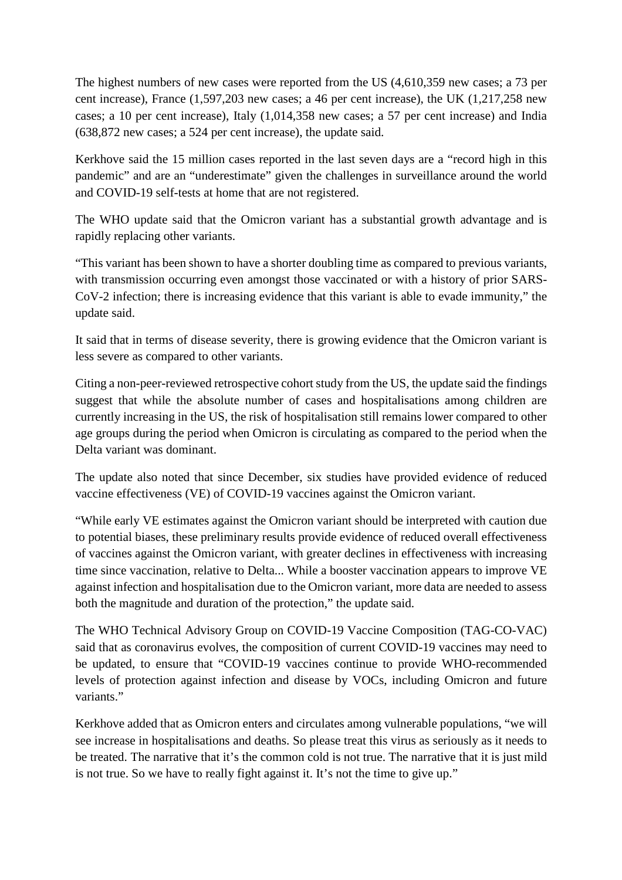The highest numbers of new cases were reported from the US (4,610,359 new cases; a 73 per cent increase), France (1,597,203 new cases; a 46 per cent increase), the UK (1,217,258 new cases; a 10 per cent increase), Italy (1,014,358 new cases; a 57 per cent increase) and India (638,872 new cases; a 524 per cent increase), the update said.

Kerkhove said the 15 million cases reported in the last seven days are a "record high in this pandemic" and are an "underestimate" given the challenges in surveillance around the world and COVID-19 self-tests at home that are not registered.

The WHO update said that the Omicron variant has a substantial growth advantage and is rapidly replacing other variants.

"This variant has been shown to have a shorter doubling time as compared to previous variants, with transmission occurring even amongst those vaccinated or with a history of prior SARS-CoV-2 infection; there is increasing evidence that this variant is able to evade immunity," the update said.

It said that in terms of disease severity, there is growing evidence that the Omicron variant is less severe as compared to other variants.

Citing a non-peer-reviewed retrospective cohort study from the US, the update said the findings suggest that while the absolute number of cases and hospitalisations among children are currently increasing in the US, the risk of hospitalisation still remains lower compared to other age groups during the period when Omicron is circulating as compared to the period when the Delta variant was dominant.

The update also noted that since December, six studies have provided evidence of reduced vaccine effectiveness (VE) of COVID-19 vaccines against the Omicron variant.

"While early VE estimates against the Omicron variant should be interpreted with caution due to potential biases, these preliminary results provide evidence of reduced overall effectiveness of vaccines against the Omicron variant, with greater declines in effectiveness with increasing time since vaccination, relative to Delta... While a booster vaccination appears to improve VE against infection and hospitalisation due to the Omicron variant, more data are needed to assess both the magnitude and duration of the protection," the update said.

The WHO Technical Advisory Group on COVID-19 Vaccine Composition (TAG-CO-VAC) said that as coronavirus evolves, the composition of current COVID-19 vaccines may need to be updated, to ensure that "COVID-19 vaccines continue to provide WHO-recommended levels of protection against infection and disease by VOCs, including Omicron and future variants."

Kerkhove added that as Omicron enters and circulates among vulnerable populations, "we will see increase in hospitalisations and deaths. So please treat this virus as seriously as it needs to be treated. The narrative that it's the common cold is not true. The narrative that it is just mild is not true. So we have to really fight against it. It's not the time to give up."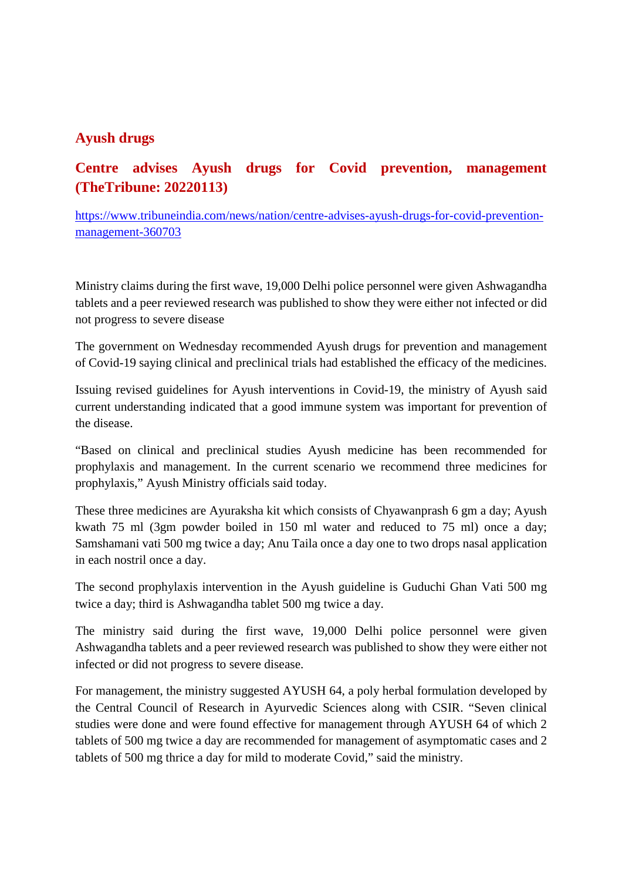#### **Ayush drugs**

#### **Centre advises Ayush drugs for Covid prevention, management (TheTribune: 20220113)**

https://www.tribuneindia.com/news/nation/centre-advises-ayush-drugs-for-covid-preventionmanagement-360703

Ministry claims during the first wave, 19,000 Delhi police personnel were given Ashwagandha tablets and a peer reviewed research was published to show they were either not infected or did not progress to severe disease

The government on Wednesday recommended Ayush drugs for prevention and management of Covid-19 saying clinical and preclinical trials had established the efficacy of the medicines.

Issuing revised guidelines for Ayush interventions in Covid-19, the ministry of Ayush said current understanding indicated that a good immune system was important for prevention of the disease.

"Based on clinical and preclinical studies Ayush medicine has been recommended for prophylaxis and management. In the current scenario we recommend three medicines for prophylaxis," Ayush Ministry officials said today.

These three medicines are Ayuraksha kit which consists of Chyawanprash 6 gm a day; Ayush kwath 75 ml (3gm powder boiled in 150 ml water and reduced to 75 ml) once a day; Samshamani vati 500 mg twice a day; Anu Taila once a day one to two drops nasal application in each nostril once a day.

The second prophylaxis intervention in the Ayush guideline is Guduchi Ghan Vati 500 mg twice a day; third is Ashwagandha tablet 500 mg twice a day.

The ministry said during the first wave, 19,000 Delhi police personnel were given Ashwagandha tablets and a peer reviewed research was published to show they were either not infected or did not progress to severe disease.

For management, the ministry suggested AYUSH 64, a poly herbal formulation developed by the Central Council of Research in Ayurvedic Sciences along with CSIR. "Seven clinical studies were done and were found effective for management through AYUSH 64 of which 2 tablets of 500 mg twice a day are recommended for management of asymptomatic cases and 2 tablets of 500 mg thrice a day for mild to moderate Covid," said the ministry.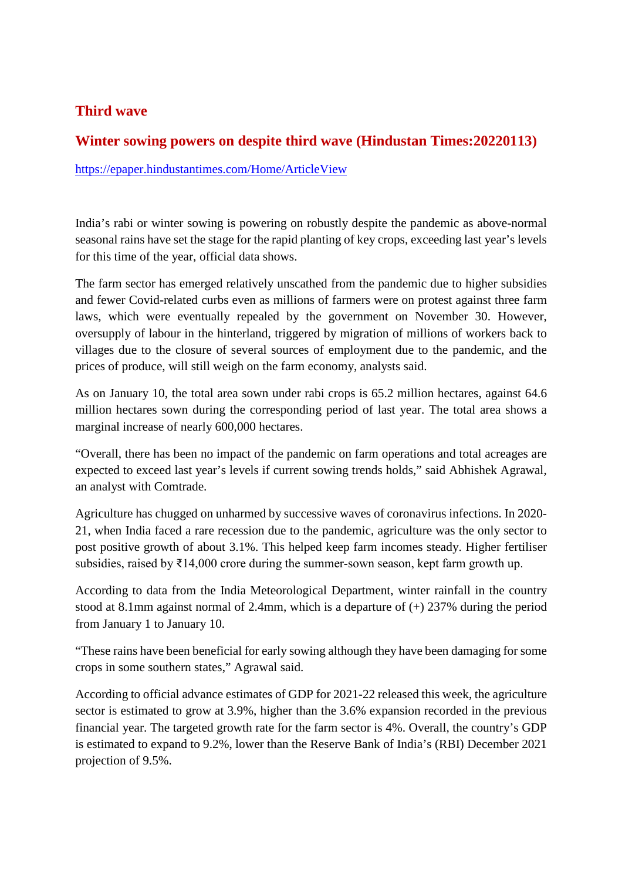#### **Third wave**

#### **Winter sowing powers on despite third wave (Hindustan Times:20220113)**

https://epaper.hindustantimes.com/Home/ArticleView

India's rabi or winter sowing is powering on robustly despite the pandemic as above-normal seasonal rains have set the stage for the rapid planting of key crops, exceeding last year's levels for this time of the year, official data shows.

The farm sector has emerged relatively unscathed from the pandemic due to higher subsidies and fewer Covid-related curbs even as millions of farmers were on protest against three farm laws, which were eventually repealed by the government on November 30. However, oversupply of labour in the hinterland, triggered by migration of millions of workers back to villages due to the closure of several sources of employment due to the pandemic, and the prices of produce, will still weigh on the farm economy, analysts said.

As on January 10, the total area sown under rabi crops is 65.2 million hectares, against 64.6 million hectares sown during the corresponding period of last year. The total area shows a marginal increase of nearly 600,000 hectares.

"Overall, there has been no impact of the pandemic on farm operations and total acreages are expected to exceed last year's levels if current sowing trends holds," said Abhishek Agrawal, an analyst with Comtrade.

Agriculture has chugged on unharmed by successive waves of coronavirus infections. In 2020- 21, when India faced a rare recession due to the pandemic, agriculture was the only sector to post positive growth of about 3.1%. This helped keep farm incomes steady. Higher fertiliser subsidies, raised by ₹14,000 crore during the summer-sown season, kept farm growth up.

According to data from the India Meteorological Department, winter rainfall in the country stood at 8.1mm against normal of 2.4mm, which is a departure of (+) 237% during the period from January 1 to January 10.

"These rains have been beneficial for early sowing although they have been damaging for some crops in some southern states," Agrawal said.

According to official advance estimates of GDP for 2021-22 released this week, the agriculture sector is estimated to grow at 3.9%, higher than the 3.6% expansion recorded in the previous financial year. The targeted growth rate for the farm sector is 4%. Overall, the country's GDP is estimated to expand to 9.2%, lower than the Reserve Bank of India's (RBI) December 2021 projection of 9.5%.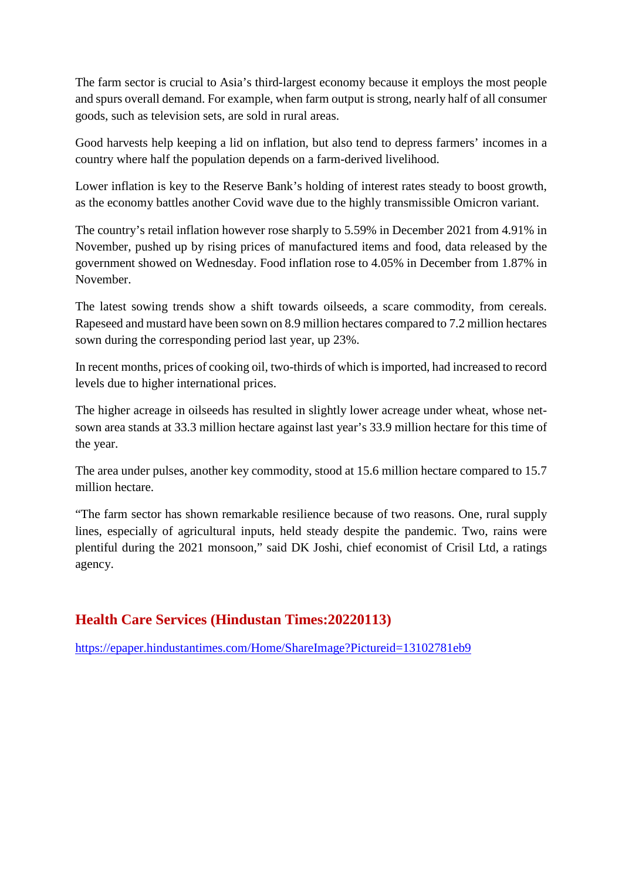The farm sector is crucial to Asia's third-largest economy because it employs the most people and spurs overall demand. For example, when farm output is strong, nearly half of all consumer goods, such as television sets, are sold in rural areas.

Good harvests help keeping a lid on inflation, but also tend to depress farmers' incomes in a country where half the population depends on a farm-derived livelihood.

Lower inflation is key to the Reserve Bank's holding of interest rates steady to boost growth, as the economy battles another Covid wave due to the highly transmissible Omicron variant.

The country's retail inflation however rose sharply to 5.59% in December 2021 from 4.91% in November, pushed up by rising prices of manufactured items and food, data released by the government showed on Wednesday. Food inflation rose to 4.05% in December from 1.87% in November.

The latest sowing trends show a shift towards oilseeds, a scare commodity, from cereals. Rapeseed and mustard have been sown on 8.9 million hectares compared to 7.2 million hectares sown during the corresponding period last year, up 23%.

In recent months, prices of cooking oil, two-thirds of which is imported, had increased to record levels due to higher international prices.

The higher acreage in oilseeds has resulted in slightly lower acreage under wheat, whose netsown area stands at 33.3 million hectare against last year's 33.9 million hectare for this time of the year.

The area under pulses, another key commodity, stood at 15.6 million hectare compared to 15.7 million hectare.

"The farm sector has shown remarkable resilience because of two reasons. One, rural supply lines, especially of agricultural inputs, held steady despite the pandemic. Two, rains were plentiful during the 2021 monsoon," said DK Joshi, chief economist of Crisil Ltd, a ratings agency.

#### **Health Care Services (Hindustan Times:20220113)**

https://epaper.hindustantimes.com/Home/ShareImage?Pictureid=13102781eb9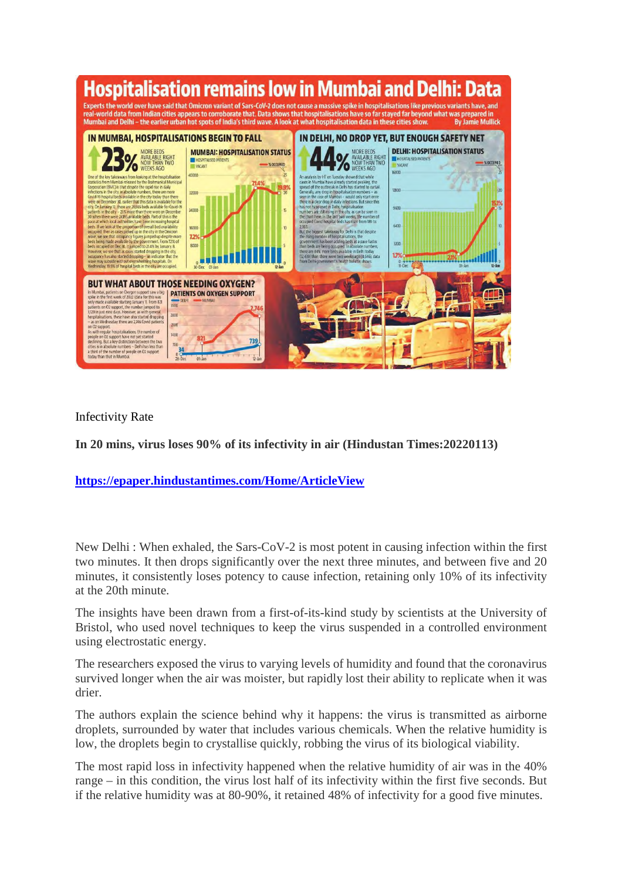

Infectivity Rate

**In 20 mins, virus loses 90% of its infectivity in air (Hindustan Times:20220113)**

**https://epaper.hindustantimes.com/Home/ArticleView**

New Delhi : When exhaled, the Sars-CoV-2 is most potent in causing infection within the first two minutes. It then drops significantly over the next three minutes, and between five and 20 minutes, it consistently loses potency to cause infection, retaining only 10% of its infectivity at the 20th minute.

The insights have been drawn from a first-of-its-kind study by scientists at the University of Bristol, who used novel techniques to keep the virus suspended in a controlled environment using electrostatic energy.

The researchers exposed the virus to varying levels of humidity and found that the coronavirus survived longer when the air was moister, but rapidly lost their ability to replicate when it was drier.

The authors explain the science behind why it happens: the virus is transmitted as airborne droplets, surrounded by water that includes various chemicals. When the relative humidity is low, the droplets begin to crystallise quickly, robbing the virus of its biological viability.

The most rapid loss in infectivity happened when the relative humidity of air was in the 40% range – in this condition, the virus lost half of its infectivity within the first five seconds. But if the relative humidity was at 80-90%, it retained 48% of infectivity for a good five minutes.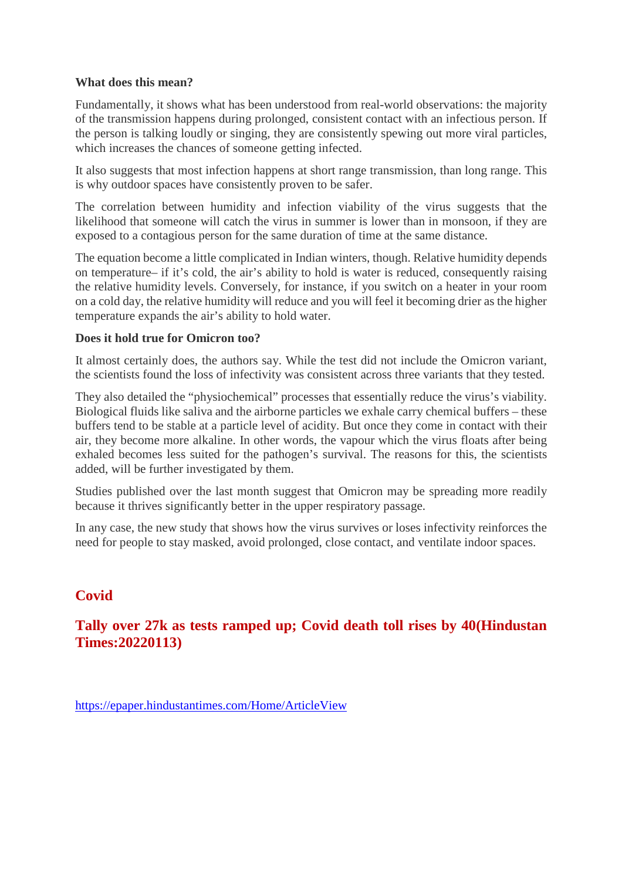#### **What does this mean?**

Fundamentally, it shows what has been understood from real-world observations: the majority of the transmission happens during prolonged, consistent contact with an infectious person. If the person is talking loudly or singing, they are consistently spewing out more viral particles, which increases the chances of someone getting infected.

It also suggests that most infection happens at short range transmission, than long range. This is why outdoor spaces have consistently proven to be safer.

The correlation between humidity and infection viability of the virus suggests that the likelihood that someone will catch the virus in summer is lower than in monsoon, if they are exposed to a contagious person for the same duration of time at the same distance.

The equation become a little complicated in Indian winters, though. Relative humidity depends on temperature– if it's cold, the air's ability to hold is water is reduced, consequently raising the relative humidity levels. Conversely, for instance, if you switch on a heater in your room on a cold day, the relative humidity will reduce and you will feel it becoming drier as the higher temperature expands the air's ability to hold water.

#### **Does it hold true for Omicron too?**

It almost certainly does, the authors say. While the test did not include the Omicron variant, the scientists found the loss of infectivity was consistent across three variants that they tested.

They also detailed the "physiochemical" processes that essentially reduce the virus's viability. Biological fluids like saliva and the airborne particles we exhale carry chemical buffers – these buffers tend to be stable at a particle level of acidity. But once they come in contact with their air, they become more alkaline. In other words, the vapour which the virus floats after being exhaled becomes less suited for the pathogen's survival. The reasons for this, the scientists added, will be further investigated by them.

Studies published over the last month suggest that Omicron may be spreading more readily because it thrives significantly better in the upper respiratory passage.

In any case, the new study that shows how the virus survives or loses infectivity reinforces the need for people to stay masked, avoid prolonged, close contact, and ventilate indoor spaces.

#### **Covid**

#### **Tally over 27k as tests ramped up; Covid death toll rises by 40(Hindustan Times:20220113)**

https://epaper.hindustantimes.com/Home/ArticleView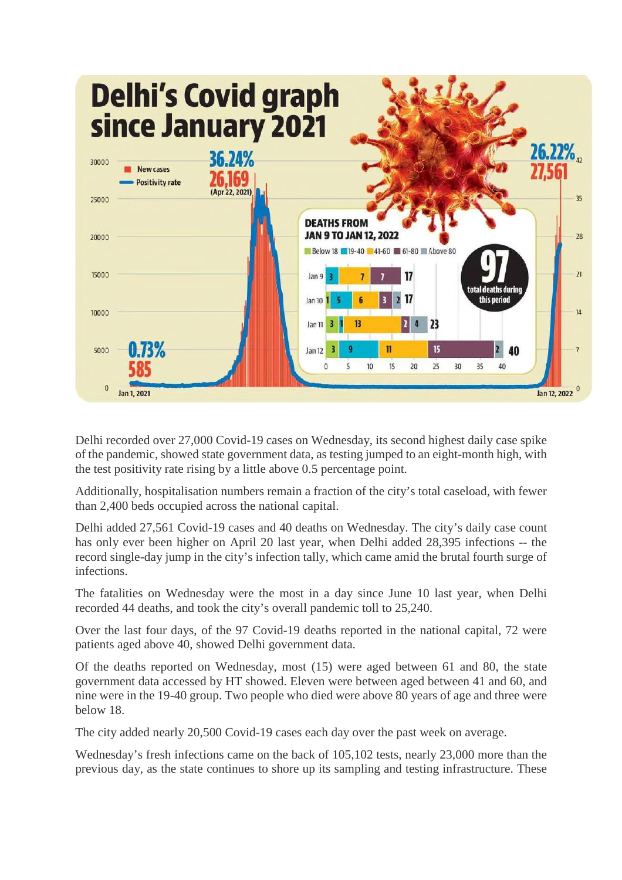

Delhi recorded over 27,000 Covid-19 cases on Wednesday, its second highest daily case spike of the pandemic, showed state government data, as testing jumped to an eight-month high, with the test positivity rate rising by a little above 0.5 percentage point.

Additionally, hospitalisation numbers remain a fraction of the city's total caseload, with fewer than 2,400 beds occupied across the national capital.

Delhi added 27,561 Covid-19 cases and 40 deaths on Wednesday. The city's daily case count has only ever been higher on April 20 last year, when Delhi added 28,395 infections -- the record single-day jump in the city's infection tally, which came amid the brutal fourth surge of infections.

The fatalities on Wednesday were the most in a day since June 10 last year, when Delhi recorded 44 deaths, and took the city's overall pandemic toll to 25,240.

Over the last four days, of the 97 Covid-19 deaths reported in the national capital, 72 were patients aged above 40, showed Delhi government data.

Of the deaths reported on Wednesday, most (15) were aged between 61 and 80, the state government data accessed by HT showed. Eleven were between aged between 41 and 60, and nine were in the 19-40 group. Two people who died were above 80 years of age and three were below 18.

The city added nearly 20,500 Covid-19 cases each day over the past week on average.

Wednesday's fresh infections came on the back of 105,102 tests, nearly 23,000 more than the previous day, as the state continues to shore up its sampling and testing infrastructure. These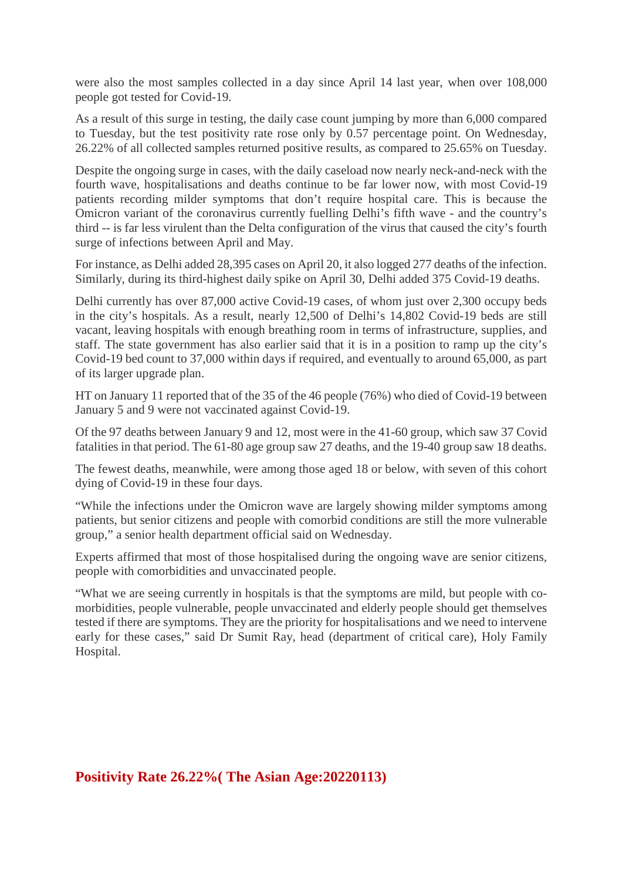were also the most samples collected in a day since April 14 last year, when over 108,000 people got tested for Covid-19.

As a result of this surge in testing, the daily case count jumping by more than 6,000 compared to Tuesday, but the test positivity rate rose only by 0.57 percentage point. On Wednesday, 26.22% of all collected samples returned positive results, as compared to 25.65% on Tuesday.

Despite the ongoing surge in cases, with the daily caseload now nearly neck-and-neck with the fourth wave, hospitalisations and deaths continue to be far lower now, with most Covid-19 patients recording milder symptoms that don't require hospital care. This is because the Omicron variant of the coronavirus currently fuelling Delhi's fifth wave - and the country's third -- is far less virulent than the Delta configuration of the virus that caused the city's fourth surge of infections between April and May.

For instance, as Delhi added 28,395 cases on April 20, it also logged 277 deaths of the infection. Similarly, during its third-highest daily spike on April 30, Delhi added 375 Covid-19 deaths.

Delhi currently has over 87,000 active Covid-19 cases, of whom just over 2,300 occupy beds in the city's hospitals. As a result, nearly 12,500 of Delhi's 14,802 Covid-19 beds are still vacant, leaving hospitals with enough breathing room in terms of infrastructure, supplies, and staff. The state government has also earlier said that it is in a position to ramp up the city's Covid-19 bed count to 37,000 within days if required, and eventually to around 65,000, as part of its larger upgrade plan.

HT on January 11 reported that of the 35 of the 46 people (76%) who died of Covid-19 between January 5 and 9 were not vaccinated against Covid-19.

Of the 97 deaths between January 9 and 12, most were in the 41-60 group, which saw 37 Covid fatalities in that period. The 61-80 age group saw 27 deaths, and the 19-40 group saw 18 deaths.

The fewest deaths, meanwhile, were among those aged 18 or below, with seven of this cohort dying of Covid-19 in these four days.

"While the infections under the Omicron wave are largely showing milder symptoms among patients, but senior citizens and people with comorbid conditions are still the more vulnerable group," a senior health department official said on Wednesday.

Experts affirmed that most of those hospitalised during the ongoing wave are senior citizens, people with comorbidities and unvaccinated people.

"What we are seeing currently in hospitals is that the symptoms are mild, but people with comorbidities, people vulnerable, people unvaccinated and elderly people should get themselves tested if there are symptoms. They are the priority for hospitalisations and we need to intervene early for these cases," said Dr Sumit Ray, head (department of critical care), Holy Family Hospital.

**Positivity Rate 26.22%( The Asian Age:20220113)**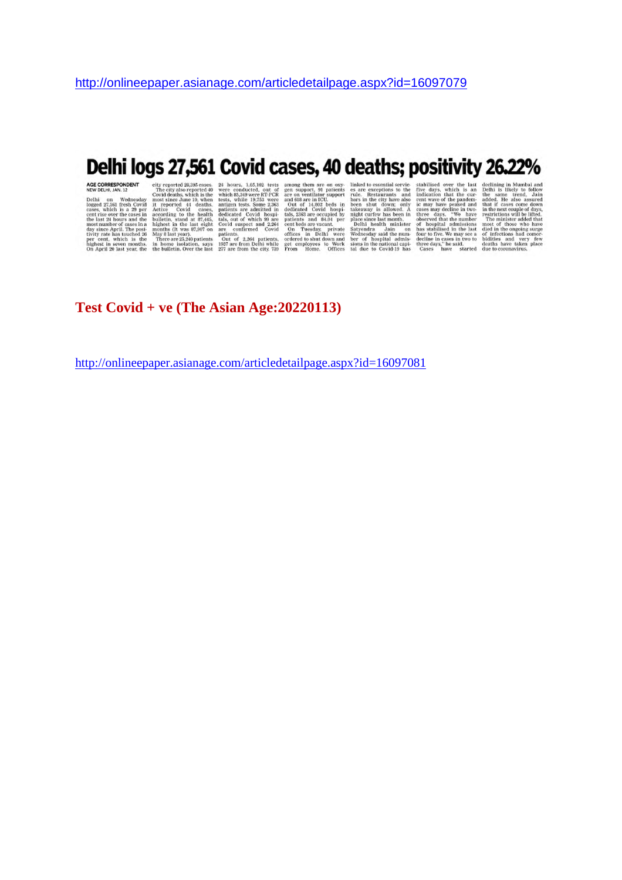## Delhi logs 27,561 Covid cases, 40 deaths; positivity 26.22%

AGE CORRESPONDENT eity reported 28,395 cases. 24 hours, 1,05,102 tests among them are on oxy-linked to essential servic-stabilised over the last declining in Mumbai and NEW DELH, JAN. 12 The city siso reported 40 were cond

#### **Test Covid + ve (The Asian Age:20220113)**

http://onlineepaper.asianage.com/articledetailpage.aspx?id=16097081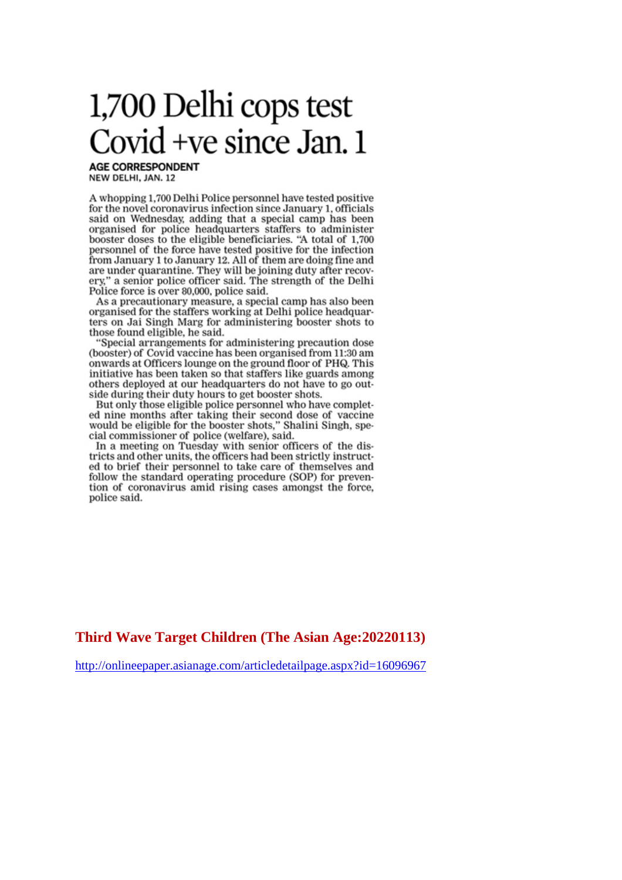# 1,700 Delhi cops test Covid +ve since Jan. 1

**AGE CORRESPONDENT** NEW DELHI, JAN. 12

A whopping 1,700 Delhi Police personnel have tested positive for the novel coronavirus infection since January 1, officials said on Wednesday, adding that a special camp has been organised for police headquarters staffers to administer<br>booster doses to the eligible beneficiaries. "A total of 1,700 personnel of the force have tested positive for the infection from January 1 to January 12. All of them are doing fine and are under quarantine. They will be joining duty after recovery," a senior police officer said. The strength of the Delhi Police force is over 80,000, police said.

As a precautionary measure, a special camp has also been organised for the staffers working at Delhi police headquarters on Jai Singh Marg for administering booster shots to those found eligible, he said.

"Special arrangements for administering precaution dose (booster) of Covid vaccine has been organised from 11:30 am onwards at Officers lounge on the ground floor of PHQ. This initiative has been taken so that staffers like guards among others deployed at our headquarters do not have to go outside during their duty hours to get booster shots.

But only those eligible police personnel who have completed nine months after taking their second dose of vaccine would be eligible for the booster shots," Shalini Singh, special commissioner of police (welfare), said.

In a meeting on Tuesday with senior officers of the districts and other units, the officers had been strictly instructed to brief their personnel to take care of themselves and follow the standard operating procedure (SOP) for prevention of coronavirus amid rising cases amongst the force, police said.

**Third Wave Target Children (The Asian Age:20220113)**

http://onlineepaper.asianage.com/articledetailpage.aspx?id=16096967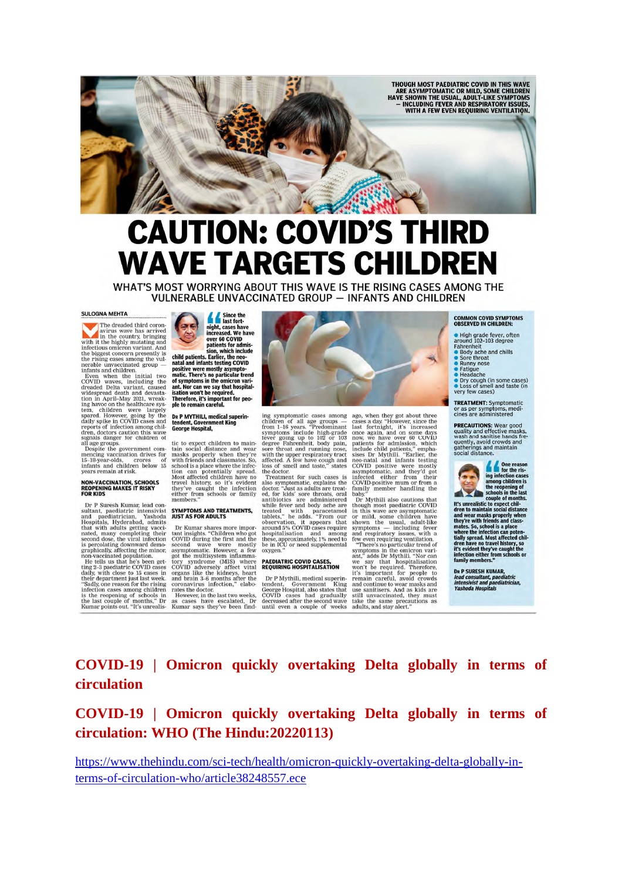

# **CAUTION: COVID'S THIRD WAVE TARGETS CHILDREN**

WHAT'S MOST WORRYING ABOUT THIS WAVE IS THE RISING CASES AMONG THE **VULNERABLE UNVACCINATED GROUP - INFANTS AND CHILDREN** 

#### **SULOGNA MEHTA**

The dreaded third coron-<br>avirus wave has arrived<br>with it the highly mutating and<br>infectious omicron variant. And

with the inging maturing and<br>infectious omicron variant. And the biggest oncern presently is<br>the this page to complement of the rising cases among the vul-<br>infants and children.<br>Infants and children.<br>COVID waves, including

reports of infection among chil-<br>deren, doctors caution this wave<br>signals danger for children of<br>all age groups.<br>Despite the government com-<br>mencing vaccination drives for<br>mencing vaccination, crores of<br>infants and childre

## **NON-VACCINATION, SCHOOLS<br>REOPENING MAKES IT RISKY<br>FOR KIDS**

**FOR KIDS**<br>
Dr P Suresh Kumar, lead con-<br>
Dr P Suresh Kumar, lead con-<br>
autant, paediatric intensivist<br>
and paediatrician, Yashoda<br>
Hospitals, Hyderabad, admits<br>
that with adults getting vacu-<br>
natac, many completing thei

Since the night, cases have<br>increased. We have over 60 COVID

over 60 COVID<br>
patients for admission, which include<br>
child patients. Earlier, the neo-<br>
matic. There's no particular tend<br>
matic. There's no particular tend<br>
of symptoms in the onlicron vari-<br>
istation won't be required.<br>

## DR P MYTHILI, medical superintendent, Government King<br>George Hospital,

tic to expect children to maintain social distance and wear<br>masks properly when they're with friends and class<br>mates. So, school is a place where the infec-<br>too is a place where the infection for the stand through the trav

## SYMPTOMS AND TREATMENTS,<br>JUST AS FOR ADULTS

**JOST AS FOR ADULTS**<br>
Dr Kumar shares more impor-<br>
tant insights. "Children who got<br>
COVID during the first and the<br>
econd wave were mostly<br>
asymptomatic. However, a few<br>
got the multisystem inflamma-<br>
coronawirus infectio



ing symptomatic cases among<br>children of all age groups after<br>form 1-16 years. "Predominant<br>symptoms include high-grade<br>fever going up to 102 or 103<br>degree Fahrenheit, body pain,<br>sore throat and running nose,<br>with the upper

re doctor.<br>Treatment for such cases is Treatment for such cases is also symptomatic, explains the doctor. "Just as adults are treated, for kids' sore throust, or<br>all mathematic explains the antibiotics are administered with paraceta<br>moltographs that the treate oxygen.

#### PAEDIATRIC COVID CASES,<br>REQUIRING HOSPITALISATION

 $\begin{tabular}{p{0.8cm}} D r P Mythili, medical superin-  
tendent, Government King  
George Hospital, also states that  
COVID cases had gradually  
decreased after the second wave  
until even a couple of weeks \end{tabular}$ 

ago, when they got about three<br>cases a day. "However, since the age, when they got about three cases a day.<br>"However, since the cases a day. "However, since the last fortnight, it's increased<br>once again, and one same days now, we have over  $80^{\circ}$  COVID include child patients, which<br>

baby."<br>Dr Mythili also cautions that

baby."<br>Through most packing contions that<br>through most packing through most packing in this wave are asymptomatic<br>or mild, some children have<br>simply the usual, adult-like<br>symptoms — including fever sumply and respiratory i

#### **COMMON COVID SYMPTOMS<br>OBSERVED IN CHILDREN:**

- 
- 
- 
- 
- High grade fever, often<br>around 102-103 degree<br>Fahrenheit<br>● Body ache and chills<br>● Body ache<br>● Stre throat<br>Paddache<br>● Headache<br>● Dry cough (in some cases)<br>● Dry cough (in some cases)<br>● Loss of smell and taste (in very few cases)

**TREATMENT:** Symptomatic<br>or as per symptoms, medi-<br>cines are administered

**PRECAUTIONS:** Wear good<br>quality and effective masks,<br>wash and sanitise hands fre-<br>quently, avoid crowds and<br>gatherings and maintain<br>social distance.



Social distance.<br>
The formulation cases for the rising infection cases among children is<br>
impactification is<br>
the respective to the last<br>
the respect chil-<br>
and wear masks properly when<br>
and wear masks properly when<br>
the i

**Da P SURESH KUMAR,<br>lead consultant, paediatric<br>intensivist and paediatrician,<br>Yashoda Hospitals** 

**COVID-19 | Omicron quickly overtaking Delta globally in terms of circulation**

#### **COVID-19 | Omicron quickly overtaking Delta globally in terms of circulation: WHO (The Hindu:20220113)**

https://www.thehindu.com/sci-tech/health/omicron-quickly-overtaking-delta-globally-interms-of-circulation-who/article38248557.ece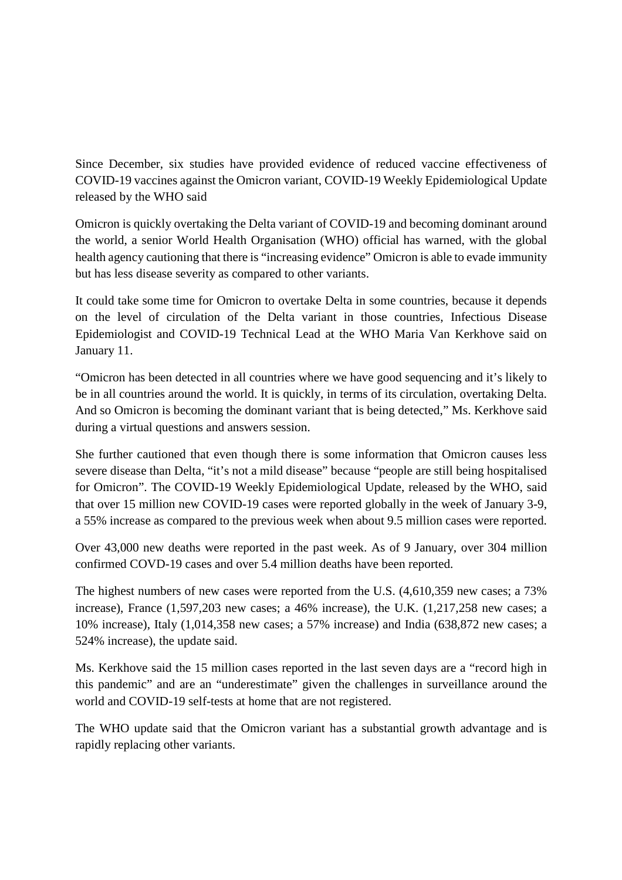Since December, six studies have provided evidence of reduced vaccine effectiveness of COVID-19 vaccines against the Omicron variant, COVID-19 Weekly Epidemiological Update released by the WHO said

Omicron is quickly overtaking the Delta variant of COVID-19 and becoming dominant around the world, a senior World Health Organisation (WHO) official has warned, with the global health agency cautioning that there is "increasing evidence" Omicron is able to evade immunity but has less disease severity as compared to other variants.

It could take some time for Omicron to overtake Delta in some countries, because it depends on the level of circulation of the Delta variant in those countries, Infectious Disease Epidemiologist and COVID-19 Technical Lead at the WHO Maria Van Kerkhove said on January 11.

"Omicron has been detected in all countries where we have good sequencing and it's likely to be in all countries around the world. It is quickly, in terms of its circulation, overtaking Delta. And so Omicron is becoming the dominant variant that is being detected," Ms. Kerkhove said during a virtual questions and answers session.

She further cautioned that even though there is some information that Omicron causes less severe disease than Delta, "it's not a mild disease" because "people are still being hospitalised for Omicron". The COVID-19 Weekly Epidemiological Update, released by the WHO, said that over 15 million new COVID-19 cases were reported globally in the week of January 3-9, a 55% increase as compared to the previous week when about 9.5 million cases were reported.

Over 43,000 new deaths were reported in the past week. As of 9 January, over 304 million confirmed COVD-19 cases and over 5.4 million deaths have been reported.

The highest numbers of new cases were reported from the U.S. (4,610,359 new cases; a 73% increase), France (1,597,203 new cases; a 46% increase), the U.K. (1,217,258 new cases; a 10% increase), Italy (1,014,358 new cases; a 57% increase) and India (638,872 new cases; a 524% increase), the update said.

Ms. Kerkhove said the 15 million cases reported in the last seven days are a "record high in this pandemic" and are an "underestimate" given the challenges in surveillance around the world and COVID-19 self-tests at home that are not registered.

The WHO update said that the Omicron variant has a substantial growth advantage and is rapidly replacing other variants.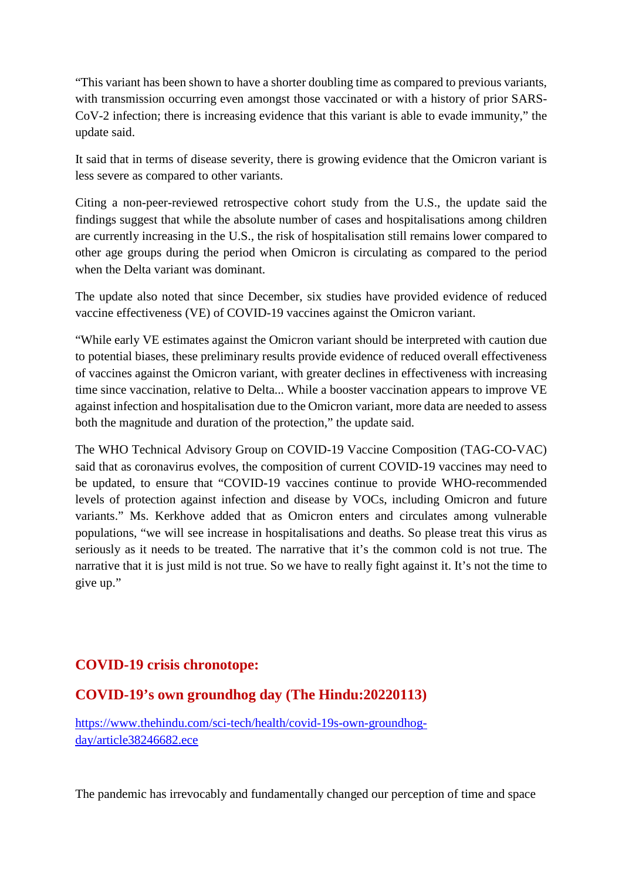"This variant has been shown to have a shorter doubling time as compared to previous variants, with transmission occurring even amongst those vaccinated or with a history of prior SARS-CoV-2 infection; there is increasing evidence that this variant is able to evade immunity," the update said.

It said that in terms of disease severity, there is growing evidence that the Omicron variant is less severe as compared to other variants.

Citing a non-peer-reviewed retrospective cohort study from the U.S., the update said the findings suggest that while the absolute number of cases and hospitalisations among children are currently increasing in the U.S., the risk of hospitalisation still remains lower compared to other age groups during the period when Omicron is circulating as compared to the period when the Delta variant was dominant.

The update also noted that since December, six studies have provided evidence of reduced vaccine effectiveness (VE) of COVID-19 vaccines against the Omicron variant.

"While early VE estimates against the Omicron variant should be interpreted with caution due to potential biases, these preliminary results provide evidence of reduced overall effectiveness of vaccines against the Omicron variant, with greater declines in effectiveness with increasing time since vaccination, relative to Delta... While a booster vaccination appears to improve VE against infection and hospitalisation due to the Omicron variant, more data are needed to assess both the magnitude and duration of the protection," the update said.

The WHO Technical Advisory Group on COVID-19 Vaccine Composition (TAG-CO-VAC) said that as coronavirus evolves, the composition of current COVID-19 vaccines may need to be updated, to ensure that "COVID-19 vaccines continue to provide WHO-recommended levels of protection against infection and disease by VOCs, including Omicron and future variants." Ms. Kerkhove added that as Omicron enters and circulates among vulnerable populations, "we will see increase in hospitalisations and deaths. So please treat this virus as seriously as it needs to be treated. The narrative that it's the common cold is not true. The narrative that it is just mild is not true. So we have to really fight against it. It's not the time to give up."

#### **COVID-19 crisis chronotope:**

#### **COVID-19's own groundhog day (The Hindu:20220113)**

https://www.thehindu.com/sci-tech/health/covid-19s-own-groundhogday/article38246682.ece

The pandemic has irrevocably and fundamentally changed our perception of time and space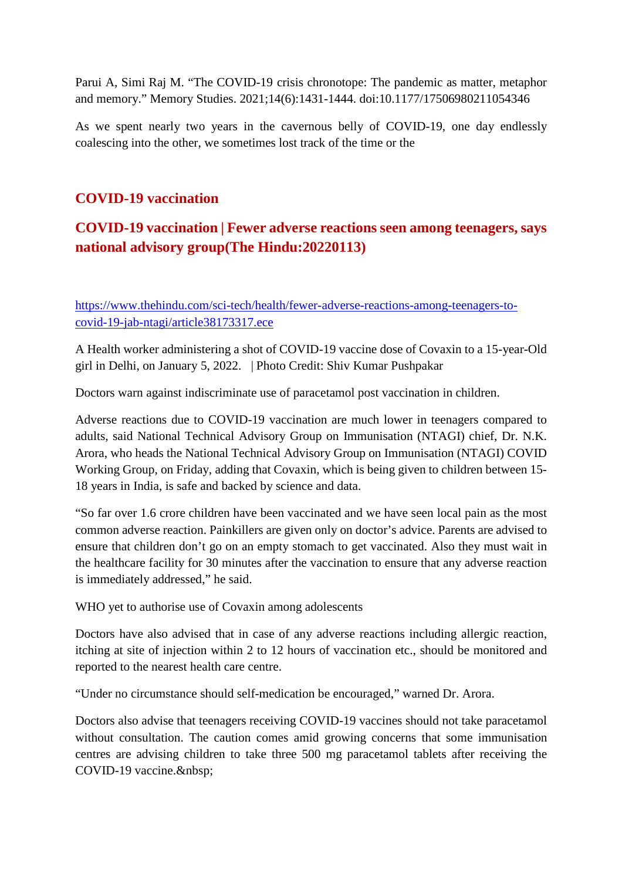Parui A, Simi Raj M. "The COVID-19 crisis chronotope: The pandemic as matter, metaphor and memory." Memory Studies. 2021;14(6):1431-1444. doi:10.1177/17506980211054346

As we spent nearly two years in the cavernous belly of COVID-19, one day endlessly coalescing into the other, we sometimes lost track of the time or the

#### **COVID-19 vaccination**

#### **COVID-19 vaccination | Fewer adverse reactions seen among teenagers, says national advisory group(The Hindu:20220113)**

https://www.thehindu.com/sci-tech/health/fewer-adverse-reactions-among-teenagers-tocovid-19-jab-ntagi/article38173317.ece

A Health worker administering a shot of COVID-19 vaccine dose of Covaxin to a 15-year-Old girl in Delhi, on January 5, 2022. | Photo Credit: Shiv Kumar Pushpakar

Doctors warn against indiscriminate use of paracetamol post vaccination in children.

Adverse reactions due to COVID-19 vaccination are much lower in teenagers compared to adults, said National Technical Advisory Group on Immunisation (NTAGI) chief, Dr. N.K. Arora, who heads the National Technical Advisory Group on Immunisation (NTAGI) COVID Working Group, on Friday, adding that Covaxin, which is being given to children between 15- 18 years in India, is safe and backed by science and data.

"So far over 1.6 crore children have been vaccinated and we have seen local pain as the most common adverse reaction. Painkillers are given only on doctor's advice. Parents are advised to ensure that children don't go on an empty stomach to get vaccinated. Also they must wait in the healthcare facility for 30 minutes after the vaccination to ensure that any adverse reaction is immediately addressed," he said.

WHO yet to authorise use of Covaxin among adolescents

Doctors have also advised that in case of any adverse reactions including allergic reaction, itching at site of injection within 2 to 12 hours of vaccination etc., should be monitored and reported to the nearest health care centre.

"Under no circumstance should self-medication be encouraged," warned Dr. Arora.

Doctors also advise that teenagers receiving COVID-19 vaccines should not take paracetamol without consultation. The caution comes amid growing concerns that some immunisation centres are advising children to take three 500 mg paracetamol tablets after receiving the COVID-19 vaccine.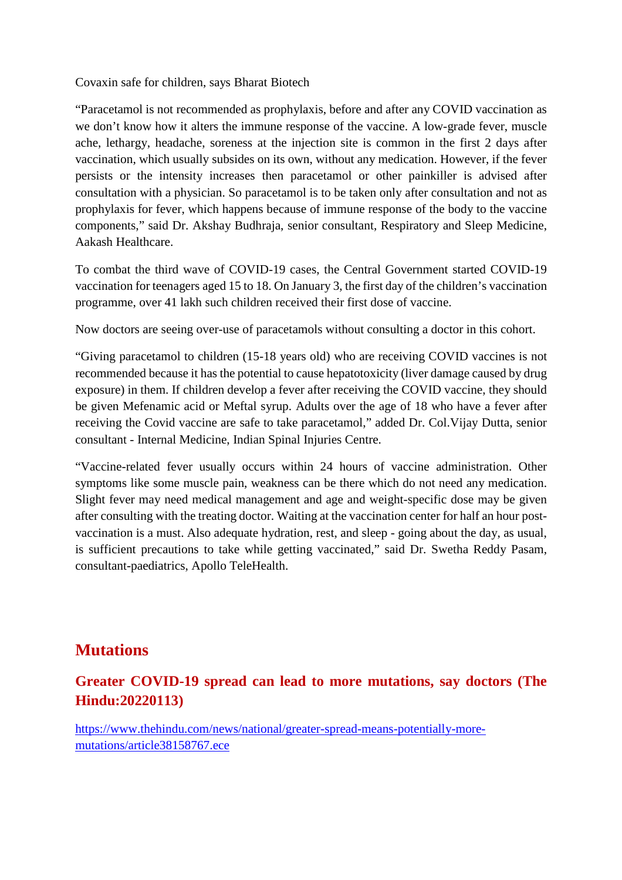Covaxin safe for children, says Bharat Biotech

"Paracetamol is not recommended as prophylaxis, before and after any COVID vaccination as we don't know how it alters the immune response of the vaccine. A low-grade fever, muscle ache, lethargy, headache, soreness at the injection site is common in the first 2 days after vaccination, which usually subsides on its own, without any medication. However, if the fever persists or the intensity increases then paracetamol or other painkiller is advised after consultation with a physician. So paracetamol is to be taken only after consultation and not as prophylaxis for fever, which happens because of immune response of the body to the vaccine components," said Dr. Akshay Budhraja, senior consultant, Respiratory and Sleep Medicine, Aakash Healthcare.

To combat the third wave of COVID-19 cases, the Central Government started COVID-19 vaccination for teenagers aged 15 to 18. On January 3, the first day of the children's vaccination programme, over 41 lakh such children received their first dose of vaccine.

Now doctors are seeing over-use of paracetamols without consulting a doctor in this cohort.

"Giving paracetamol to children (15-18 years old) who are receiving COVID vaccines is not recommended because it has the potential to cause hepatotoxicity (liver damage caused by drug exposure) in them. If children develop a fever after receiving the COVID vaccine, they should be given Mefenamic acid or Meftal syrup. Adults over the age of 18 who have a fever after receiving the Covid vaccine are safe to take paracetamol," added Dr. Col.Vijay Dutta, senior consultant - Internal Medicine, Indian Spinal Injuries Centre.

"Vaccine-related fever usually occurs within 24 hours of vaccine administration. Other symptoms like some muscle pain, weakness can be there which do not need any medication. Slight fever may need medical management and age and weight-specific dose may be given after consulting with the treating doctor. Waiting at the vaccination center for half an hour postvaccination is a must. Also adequate hydration, rest, and sleep - going about the day, as usual, is sufficient precautions to take while getting vaccinated," said Dr. Swetha Reddy Pasam, consultant-paediatrics, Apollo TeleHealth.

## **Mutations**

### **Greater COVID-19 spread can lead to more mutations, say doctors (The Hindu:20220113)**

https://www.thehindu.com/news/national/greater-spread-means-potentially-moremutations/article38158767.ece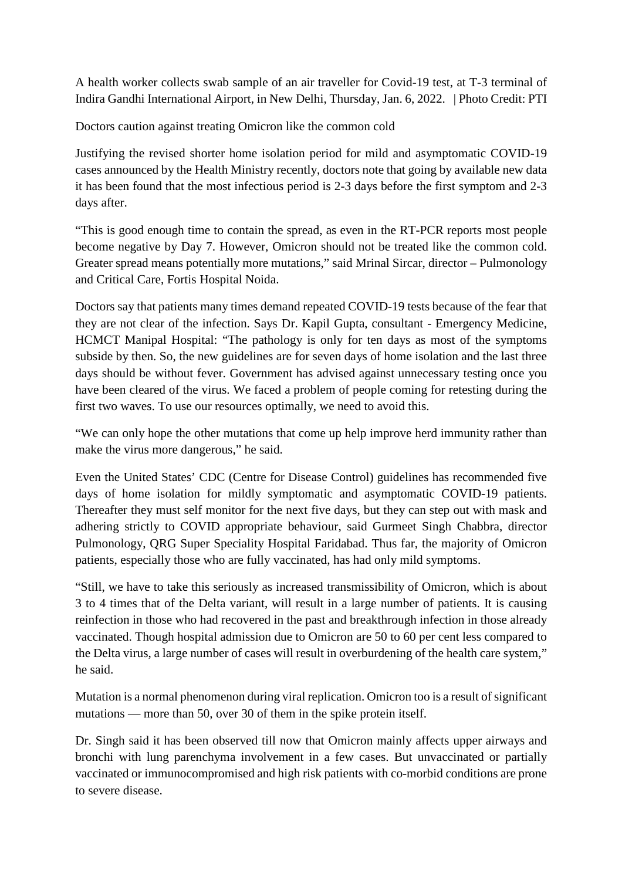A health worker collects swab sample of an air traveller for Covid-19 test, at T-3 terminal of Indira Gandhi International Airport, in New Delhi, Thursday, Jan. 6, 2022. | Photo Credit: PTI

Doctors caution against treating Omicron like the common cold

Justifying the revised shorter home isolation period for mild and asymptomatic COVID-19 cases announced by the Health Ministry recently, doctors note that going by available new data it has been found that the most infectious period is 2-3 days before the first symptom and 2-3 days after.

"This is good enough time to contain the spread, as even in the RT-PCR reports most people become negative by Day 7. However, Omicron should not be treated like the common cold. Greater spread means potentially more mutations," said Mrinal Sircar, director – Pulmonology and Critical Care, Fortis Hospital Noida.

Doctors say that patients many times demand repeated COVID-19 tests because of the fear that they are not clear of the infection. Says Dr. Kapil Gupta, consultant - Emergency Medicine, HCMCT Manipal Hospital: "The pathology is only for ten days as most of the symptoms subside by then. So, the new guidelines are for seven days of home isolation and the last three days should be without fever. Government has advised against unnecessary testing once you have been cleared of the virus. We faced a problem of people coming for retesting during the first two waves. To use our resources optimally, we need to avoid this.

"We can only hope the other mutations that come up help improve herd immunity rather than make the virus more dangerous," he said.

Even the United States' CDC (Centre for Disease Control) guidelines has recommended five days of home isolation for mildly symptomatic and asymptomatic COVID-19 patients. Thereafter they must self monitor for the next five days, but they can step out with mask and adhering strictly to COVID appropriate behaviour, said Gurmeet Singh Chabbra, director Pulmonology, QRG Super Speciality Hospital Faridabad. Thus far, the majority of Omicron patients, especially those who are fully vaccinated, has had only mild symptoms.

"Still, we have to take this seriously as increased transmissibility of Omicron, which is about 3 to 4 times that of the Delta variant, will result in a large number of patients. It is causing reinfection in those who had recovered in the past and breakthrough infection in those already vaccinated. Though hospital admission due to Omicron are 50 to 60 per cent less compared to the Delta virus, a large number of cases will result in overburdening of the health care system," he said.

Mutation is a normal phenomenon during viral replication. Omicron too is a result of significant mutations — more than 50, over 30 of them in the spike protein itself.

Dr. Singh said it has been observed till now that Omicron mainly affects upper airways and bronchi with lung parenchyma involvement in a few cases. But unvaccinated or partially vaccinated or immunocompromised and high risk patients with co-morbid conditions are prone to severe disease.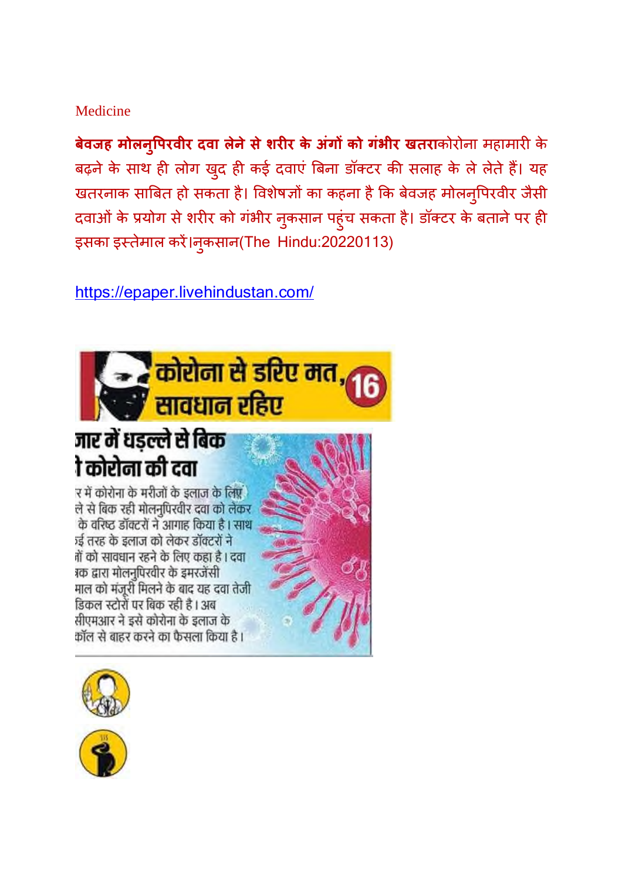#### Medicine

**बेवजह मोलनुपिरवीर दवा लेने से शरीर के अंगों को गभीर खतरा**कोरोना महामारी के बढ़ने के साथ ही लोग खुद ही कई दवाएं बिना डॉक्टर की सलाह के ले लेते हैं। यह खतरनाक साबित हो सकता है। विशेषज्ञों का कहना है कि बेवजह मोलनुपिरवीर जैसी दवाओं के प्रयोग से शरीर को गंभीर नुकसान पहुंच सकता है। डॉक्टर के बताने पर ही इसका इस्तेमाल करे।नुकसान(The Hindu:20220113)

https://epaper.livehindustan.com/



## जार में धड़ल्ले से बिक ो कोरोना की दवा

र में कोरोना के मरीजों के इलाज के लिए ले से बिक रही मोलनपिरवीर दवा को लेकर के वरिष्ट डॉक्टरों ने आगाह किया है। साथ रई तरह के इलाज को लेकर डॉक्टरों ने नों को सावधान रहने के लिए कहा है। दवा १क द्वारा मोलनुपिरवीर के इमरजेंसी माल को मंजूरी मिलने के बाद यह दवा तेजी डिकल स्टोरों पर बिक रही है । अब सीएमआर ने इसे कोरोना के इलाज के कॉल से बाहर करने का फैसला किया है।





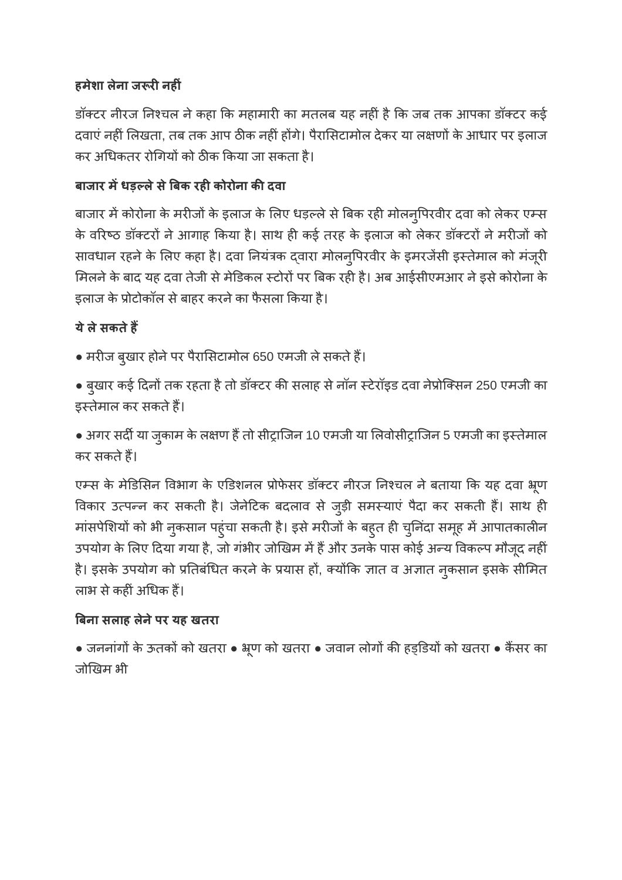#### **हमेशा लेना ज रनहं**

डॉक्टर नीरज निश्चल ने कहा कि महामारी का मतलब यह नहीं है कि जब तक आपका डॉक्टर कई दवाएं नहीं लिखता, तब तक आप ठीक नहीं होंगे। पैरासिटामोल देकर या लक्षणों के आधार पर इलाज कर अधिकतर रोगियों को ठीक किया जा सकता है।

#### **बाजार मधड़लेसेबक रहकोरोना कदवा**

बाजार में कोरोना के मरीजों के इलाज के लिए धड़ल्ले से बिक रही मोलनुपिरवीर दवा को लेकर एम्स के वरिष्ठ डॉक्टरों ने आगाह किया है। साथ ही कई तरह के इलाज को लेकर डॉक्टरों ने मरीजों को सावधान रहने के लिए कहा है। दवा नियंत्रक दवारा मोलन्पिरवीर के इमरजेंसी इस्तेमाल को मंजूरी मिलने के बाद यह दवा तेजी से मेडिकल स्टोरों पर बिक रही है। अब आईसीएमआर ने इसे कोरोना के इलाज के प्रोटोकॉल से बाहर करने का फैसला किया है।

#### **येलेसकतेह**

• मरीज बुखार होने पर पैरासिटामोल 650 एमजी ले सकते हैं।

• बुखार कई दिनों तक रहता है तो डॉक्टर की सलाह से नॉन स्टेरॉइड दवा नेप्रोक्सिन 250 एमजी का इस्तेमाल कर सकते हैं।

• अगर सर्दी या जुकाम के लक्षण हैं तो सीट्राजिन 10 एमजी या लिवोसीट्राजिन 5 एमजी का इस्तेमाल कर सकतेह।

एम्स के मेडिसिन विभाग के एडिशनल प्रोफेसर डॉक्टर नीरज निश्चल ने बताया कि यह दवा भ्रूण विकार उत्पन्न कर सकती है। जेनेटिक बदलाव से जुड़ी समस्याएं पैदा कर सकती हैं। साथ ही मांसपेशियों को भी नुकसान पहुंचा सकती है। इसे मरीजों के बहुत ही चुनिंदा समूह में आपातकालीन उपयोग के लिए दिया गया है, जो गंभीर जोखिम में हैं और उनके पास कोई अन्य विकल्प मौजूद नहीं है। इसके उपयोग को प्रतिबंधित करने के प्रयास हों, क्योंकि ज्ञात व अज्ञात नुकसान इसके सीमित लाभ से कहीं अधिक हैं।

#### **बना सलाह लेनेपर यह खतरा**

● जननांगों के ऊतकों को खतरा ● भ्रूण को खतरा ● जवान लोगों की हड्डियों को खतरा ● कैंसर का जोखम भी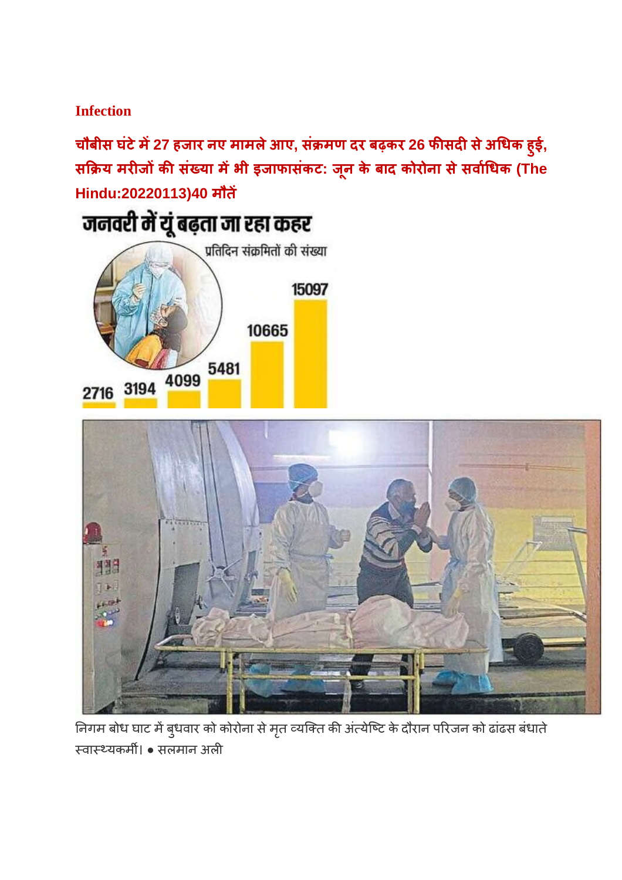#### **Infection**

**चौबीस घंटेम27 हजार नए मामलेआए, सं मण दर बढ़कर 26 फसदसेअधक ह ुई, स य मरजकसं या मभी इजाफासंकट: ज ू न के बाद कोरोना सेसवाधक (The Hindu:20220113)40 मौत**





निगम बोध घाट में बुधवार को कोरोना से मृत व्यक्ति की अंत्येष्टि के दौरान परिजन को ढांढस बंधाते वायकम। ● सलमान अल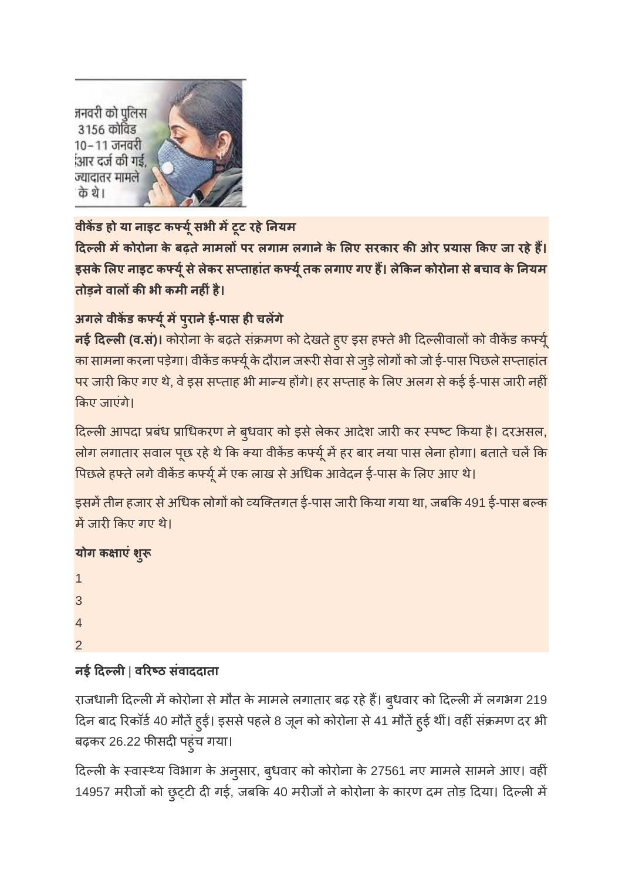जनवरी को पुलिस 3156 कोविड 10–11 जनवरी आर दर्ज की गई, ज्यादातर मामले के थे।



**वीकड हो या नाइट कयूसभी मटूट रहेनयम**

**दलमकोरोना के बढ़तेमामलपर लगाम लगानेके लए सरकार कओर यास कए जा रहेह। इसके लए नाइट कयूसेलेकर सताहांत कयूतक लगाए गए ह। लेकन कोरोना सेबचाव के नयम तोड़नेवालकभी कमी नहंहै।**

## **अगलेवीकड कयूमपुरानेई-पास हचलगे**

**नई दिल्ली (व.सं)।** कोरोना के बढ़ते संक्रमण को देखते हुए इस हफ्ते भी दिल्लीवालों को वीकेंड कर्फ्यू का सामना करना पड़ेगा। वीकेंड कर्फ्यू के दौरान जरूरी सेवा से जुड़े लोगों को जो ई-पास पिछले सप्ताहांत पर जारी किए गए थे, वे इस सप्ताह भी मान्य होंगे। हर सप्ताह के लिए अलग से कई ई-पास जारी नहीं कए जाएंगे।

दिल्ली आपदा प्रबंध प्राधिकरण ने बुधवार को इसे लेकर आदेश जारी कर स्पष्ट किया है। दरअसल, लोग लगातार सवाल पूछ रहे थे कि क्या वीकेंड कर्फ्यू में हर बार नया पास लेना होगा। बताते चलें कि पिछले हफ्ते लगे वीकेंड कर्फ्यू में एक लाख से अधिक आवेदन ई-पास के लिए आए थे।

इसमें तीन हजार से अधिक लोगों को व्यक्तिगत ई-पास जारी किया गया था, जबकि 491 ई-पास बल्क में जारी किए गए थे।

## **योग क ाएंशु**

| $\mathbf{1}$   |  |  |  |
|----------------|--|--|--|
| 3              |  |  |  |
| $\overline{4}$ |  |  |  |
| $\overline{2}$ |  |  |  |

## **नई दल**| **वरठ संवाददाता**

राजधानी दिल्ली में कोरोना से मौत के मामले लगातार बढ़ रहे हैं। बुधवार को दिल्ली में लगभग 219 दिन बाद रिकॉर्ड 40 मौतें हुई। इससे पहले 8 जून को कोरोना से 41 मौतें हुई थीं। वहीं संक्रमण दर भी बढ़कर 26.22 फीसदी पहुंच गया।

दिल्ली के स्वास्थ्य विभाग के अनुसार, बुधवार को कोरोना के 27561 नए मामले सामने आए। वहीं 14957 मरीजों को छुट्टी दी गई, जबकि 40 मरीजों ने कोरोना के कारण दम तोड़ दिया। दिल्ली में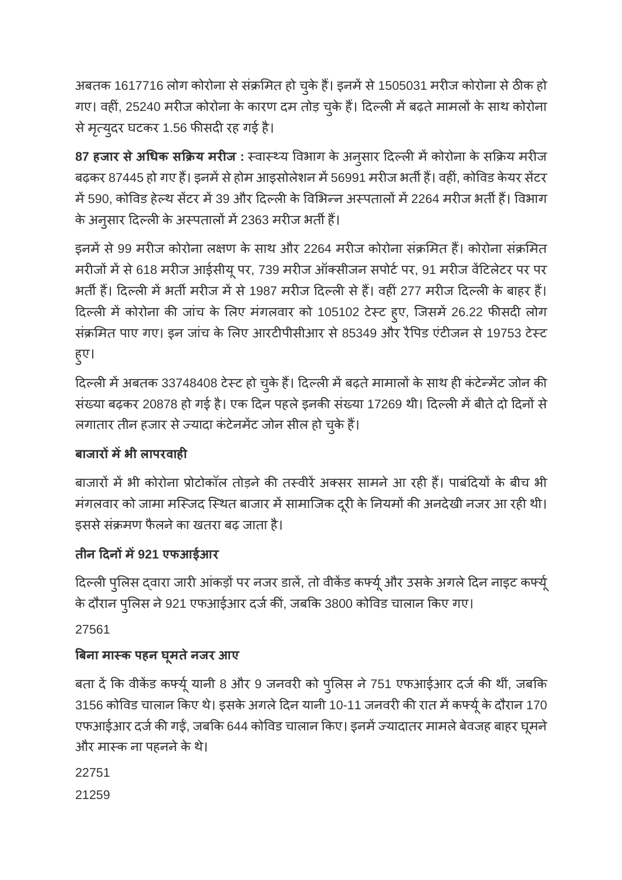अबतक 1617716 लोग कोरोना से संक्रमित हो चुके हैं। इनमें से 1505031 मरीज कोरोना से ठीक हो गए। वहीं, 25240 मरीज कोरोना के कारण दम तोड़ चुके हैं। दिल्ली में बढ़ते मामलों के साथ कोरोना से मृत्युदर घटकर 1.56 फीसदी रह गई है।

**87 हजार से अधिक सक्रिय मरीज** : स्वास्थ्य विभाग के अनुसार दिल्ली में कोरोना के सक्रिय मरीज बढ़कर 87445 हो गए हैं। इनमें से होम आइसोलेशन में 56991 मरीज भर्ती हैं। वहीं, कोविड केयर सेंटर में 590, कोविड हेल्थ सेंटर में 39 और दिल्ली के विभिन्न अस्पतालों में 2264 मरीज भर्ती हैं। विभाग के अनुसार दिल्ली के अस्पतालों में 2363 मरीज भर्ती हैं।

इनमें से 99 मरीज कोरोना लक्षण के साथ और 2264 मरीज कोरोना संक्रमित हैं। कोरोना संक्रमित मरीजों में से 618 मरीज आईसीयू पर, 739 मरीज ऑक्सीजन सपोर्ट पर, 91 मरीज वेंटिलेटर पर पर भर्ती हैं। दिल्ली में भर्ती मरीज में से 1987 मरीज दिल्ली से हैं। वहीं 277 मरीज दिल्ली के बाहर हैं। दिल्ली में कोरोना की जांच के लिए मंगलवार को 105102 टेस्ट हूए, जिसमें 26.22 फीसदी लोग संक्रमित पाए गए। इन जांच के लिए आरटीपीसीआर से 85349 और रैपिड एंटीजन से 19753 टेस्ट हुए।

दिल्ली में अबतक 33748408 टेस्ट हो चुके हैं। दिल्ली में बढ़ते मामालों के साथ ही कंटेन्मेंट जोन की संख्या बढ़कर 20878 हो गई है। एक दिन पहले इनकी संख्या 17269 थी। दिल्ली में बीते दो दिनों से लगातार तीन हजार से ज्यादा कंटेनमेंट जोन सील हो चुके हैं।

## **बाजारमभी लापरवाह**

बाजारों में भी कोरोना प्रोटोकॉल तोड़ने की तस्वीरें अक्सर सामने आ रही हैं। पाबंदियों के बीच भी मंगलवार को जामा मस्जिद स्थित बाजार में सामाजिक दूरी के नियमों की अनदेखी नजर आ रही थी। इससे संक्रमण फैलने का खतरा बढ़ जाता है।

## **तीन दनम921 एफआईआर**

दिल्ली पुलिस द्वारा जारी आंकड़ों पर नजर डालें, तो वीकेंड कर्फ्यू और उसके अगले दिन नाइट कर्फ्यू के दौरान पुलिस ने 921 एफआईआर दर्ज कीं, जबकि 3800 कोविड चालान किए गए।

27561

## **बना माक पहन घूमतेनजर आए**

बता दें कि वीकेंड कर्फ्यू यानी 8 और 9 जनवरी को पुलिस ने 751 एफआईआर दर्ज की थीं, जबकि 3156 कोविड चालान किए थे। इसके अगले दिन यानी 10-11 जनवरी की रात में कर्फ्यू के दौरान 170 एफआईआर दर्ज की गई, जबकि 644 कोविड चालान किए। इनमें ज्यादातर मामले बेवजह बाहर घूमने और मास्क ना पहनने के थे।

22751

21259